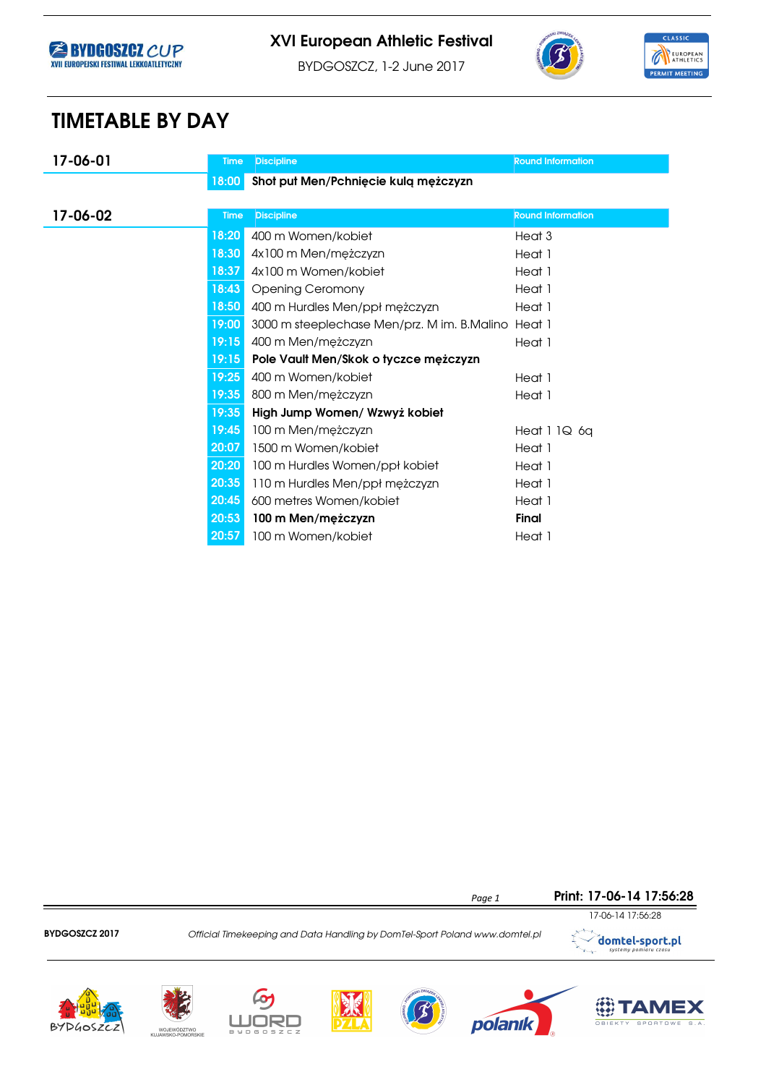





**第TAMEX** 

BYDGOSZCZ, 1-2 June 2017

# TIMETABLE BY DAY

| 17-06-01 | <b>Time</b> | <b>Discipline</b>                           | <b>Round Information</b> |
|----------|-------------|---------------------------------------------|--------------------------|
|          | 18:00       | Shot put Men/Pchnięcie kulą mężczyzn        |                          |
|          |             |                                             |                          |
| 17-06-02 | <b>Time</b> | <b>Discipline</b>                           | <b>Round Information</b> |
|          | 18:20       | 400 m Women/kobiet                          | Heat <sub>3</sub>        |
|          | 18:30       | 4x100 m Men/mężczyzn                        | Heat 1                   |
|          | 18:37       | 4x100 m Women/kobiet                        | Heat 1                   |
|          | 18:43       | <b>Opening Ceromony</b>                     | Heat 1                   |
|          | 18:50       | 400 m Hurdles Men/ppł mężczyzn              | Heat 1                   |
|          | 19:00       | 3000 m steeplechase Men/prz. M im. B.Malino | Heat 1                   |
|          | 19:15       | 400 m Men/mężczyzn                          | Heat 1                   |
|          | 19:15       | Pole Vault Men/Skok o tyczce mężczyzn       |                          |
|          | 19:25       | 400 m Women/kobiet                          | Heat 1                   |
|          | 19:35       | 800 m Men/mężczyzn                          | Heat 1                   |
|          | 19:35       | High Jump Women/ Wzwyż kobiet               |                          |
|          | 19:45       | 100 m Men/mężczyzn                          | Heat 1 1Q 6q             |
|          | 20:07       | 1500 m Women/kobiet                         | Heat 1                   |
|          | 20:20       | 100 m Hurdles Women/ppł kobiet              | Heat 1                   |
|          | 20:35       | 110 m Hurdles Men/ppł mężczyzn              | Heat 1                   |
|          | 20:45       | 600 metres Women/kobiet                     | Heat 1                   |
|          | 20:53       | 100 m Men/mężczyzn                          | <b>Final</b>             |
|          | 20:57       | 100 m Women/kobiet                          | Heat 1                   |



L

WOJEWÓDZTWO<br>KUJAWSKO-POMORSKIE

**BYDGOSZCZ** 

マロ ⊓⊩

polanık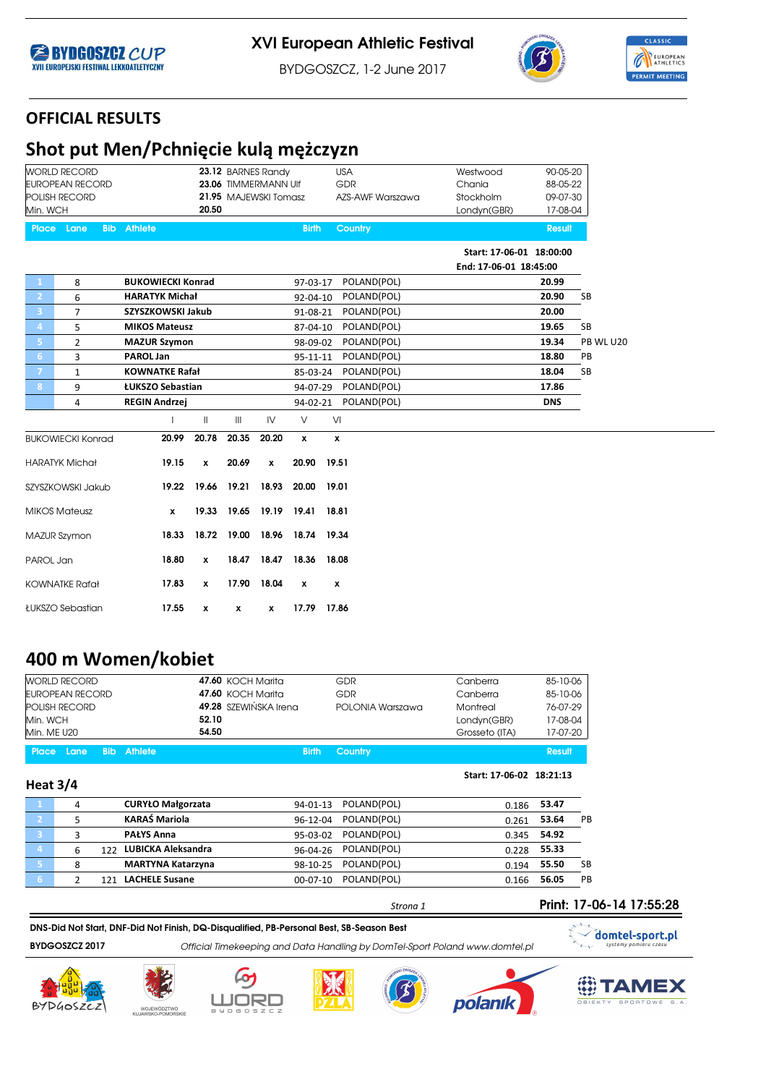





BYDGOSZCZ, 1-2 June 2017

### OFFICIAL RESULTS

# Shot put Men/Pchnięcie kulą mężczyzn

|                         | <b>WORLD RECORD</b>      |            |                          |                    | 23.12 BARNES Randy            |                    |              |       | <b>USA</b>       | Westwood                 | 90-05-20      |           |
|-------------------------|--------------------------|------------|--------------------------|--------------------|-------------------------------|--------------------|--------------|-------|------------------|--------------------------|---------------|-----------|
|                         | <b>EUROPEAN RECORD</b>   |            |                          |                    | 23.06 TIMMERMANN Ulf          |                    |              |       | GDR              | Chania                   | 88-05-22      |           |
|                         | POLISH RECORD            |            |                          |                    | 21.95 MAJEWSKI Tomasz         |                    |              |       | AZS-AWF Warszawa | Stockholm                | 09-07-30      |           |
| Min. WCH                |                          |            |                          | 20.50              |                               |                    |              |       |                  | Londyn(GBR)              | 17-08-04      |           |
| <b>Place</b>            | Lane                     | <b>Bib</b> | <b>Athlete</b>           |                    |                               |                    | <b>Birth</b> |       | <b>Country</b>   |                          | <b>Result</b> |           |
|                         |                          |            |                          |                    |                               |                    |              |       |                  | Start: 17-06-01 18:00:00 |               |           |
|                         |                          |            |                          |                    |                               |                    |              |       |                  | End: 17-06-01 18:45:00   |               |           |
| $\mathbf{1}$            | 8                        |            | <b>BUKOWIECKI Konrad</b> |                    |                               |                    | 97-03-17     |       | POLAND(POL)      |                          | 20.99         |           |
| $\mathbf{2}$            | 6                        |            | <b>HARATYK Michał</b>    |                    |                               |                    | 92-04-10     |       | POLAND(POL)      |                          | 20.90         | <b>SB</b> |
| $\overline{\mathbf{3}}$ | $\overline{7}$           |            | SZYSZKOWSKI Jakub        |                    |                               |                    | 91-08-21     |       | POLAND(POL)      |                          | 20.00         |           |
| $\boldsymbol{4}$        | 5                        |            | <b>MIKOS Mateusz</b>     |                    |                               |                    | 87-04-10     |       | POLAND(POL)      |                          | 19.65         | <b>SB</b> |
| $\overline{\mathbf{5}}$ | $\overline{2}$           |            | <b>MAZUR Szymon</b>      |                    |                               |                    | 98-09-02     |       | POLAND(POL)      |                          | 19.34         | PB WL U20 |
| 6 <sup>°</sup>          | 3                        |            | <b>PAROL Jan</b>         |                    |                               |                    | 95-11-11     |       | POLAND(POL)      |                          | 18.80         | PB        |
| $\overline{7}$          | $\mathbf{1}$             |            | <b>KOWNATKE Rafał</b>    |                    |                               |                    | 85-03-24     |       | POLAND(POL)      |                          | 18.04         | <b>SB</b> |
| $\boldsymbol{8}$        | 9                        |            | ŁUKSZO Sebastian         |                    |                               |                    | 94-07-29     |       | POLAND(POL)      |                          | 17.86         |           |
|                         | 4                        |            | <b>REGIN Andrzei</b>     |                    |                               |                    | 94-02-21     |       | POLAND(POL)      |                          | <b>DNS</b>    |           |
|                         |                          |            |                          | $\mathbf{H}$       | $\mathbf{III}$                | IV                 | $\vee$       | VI    |                  |                          |               |           |
|                         | <b>BUKOWIECKI Konrad</b> |            | 20.99                    | 20.78              | 20.35                         | 20.20              | x            | x     |                  |                          |               |           |
|                         | <b>HARATYK Michał</b>    |            | 19.15                    | $\pmb{\mathsf{x}}$ | 20.69                         | $\pmb{\mathsf{x}}$ | 20.90        | 19.51 |                  |                          |               |           |
|                         | SZYSZKOWSKI Jakub        |            | 19.22                    | 19.66              | 19.21                         | 18.93              | 20.00        | 19.01 |                  |                          |               |           |
|                         | <b>MIKOS Mateusz</b>     |            | x                        | 19.33              | 19.65                         | 19.19              | 19.41        | 18.81 |                  |                          |               |           |
|                         | <b>MAZUR Szymon</b>      |            | 18.33                    |                    | 18.72 19.00 18.96 18.74 19.34 |                    |              |       |                  |                          |               |           |
| PAROL Jan               |                          |            | 18.80                    | $\pmb{\mathsf{x}}$ | 18.47                         | 18.47              | 18.36        | 18.08 |                  |                          |               |           |
|                         | <b>KOWNATKE Rafał</b>    |            | 17.83                    | x                  | 17.90                         | 18.04              | $\pmb{\chi}$ | x     |                  |                          |               |           |
|                         | ŁUKSZO Sebastian         |            | 17.55                    | x                  | x                             | x                  | 17.79        | 17.86 |                  |                          |               |           |

## 400 m Women/kobiet

| <b>Place Lane</b><br><b>Bib</b> Athlete | <b>Birth</b>             | Country          |                | <b>Result</b> |
|-----------------------------------------|--------------------------|------------------|----------------|---------------|
| Min. ME U20                             | 54.50                    |                  | Grosseto (ITA) | 17-07-20      |
| Min. WCH                                | 52.10                    |                  | Londyn(GBR)    | 17-08-04      |
| <b>POLISH RECORD</b>                    | 49.28 SZEWIŃSKA Irena    | POLONIA Warszawa | Montreal       | 76-07-29      |
| EUROPEAN RECORD                         | <b>47.60 KOCH Marita</b> | GDR              | Canberra       | 85-10-06      |
| <b>WORLD RECORD</b>                     | <b>47.60 KOCH Marita</b> | GDR              | Canberra       | 85-10-06      |
|                                         |                          |                  |                |               |

#### Heat 3/4

|      | 4 | <b>CURYŁO Małgorzata</b> | 94-01-13 POLAND(POL)    | 0.186 53.47 |       |           |
|------|---|--------------------------|-------------------------|-------------|-------|-----------|
|      |   | <b>KARAŚ Mariola</b>     | POLAND(POL)<br>96-12-04 | 0.261       | 53.64 | PB        |
| 3    |   | <b>PAŁYS Anna</b>        | POLAND(POL)<br>95-03-02 | 0.345       | 54.92 |           |
| 4    | 6 | 122 LUBICKA Aleksandra   | 96-04-26 POLAND(POL)    | 0.228       | 55.33 |           |
|      | 8 | <b>MARTYNA Katarzyna</b> | 98-10-25 POLAND(POL)    | 0.194       | 55.50 | <b>SB</b> |
| 76 Z |   | 121 LACHELE Susane       | POLAND(POL)<br>00-07-10 | 0.166       | 56.05 | <b>PB</b> |
|      |   |                          |                         |             |       |           |

#### DNS-Did Not Start, DNF-Did Not Finish, DQ-Disqualified, PB-Personal Best, SB-Season Best

BYDGOSZCZ 2017 **Official Timekeeping and Data Handling by DomTel-Sport Poland www.domtel.pl** 











Strona 1



 $\mathbf{z}_{\rm{max}}$ 

Start: 17-06-02 18:21:13



domtel-sport.pl

Print: 17-06-14 17:55:28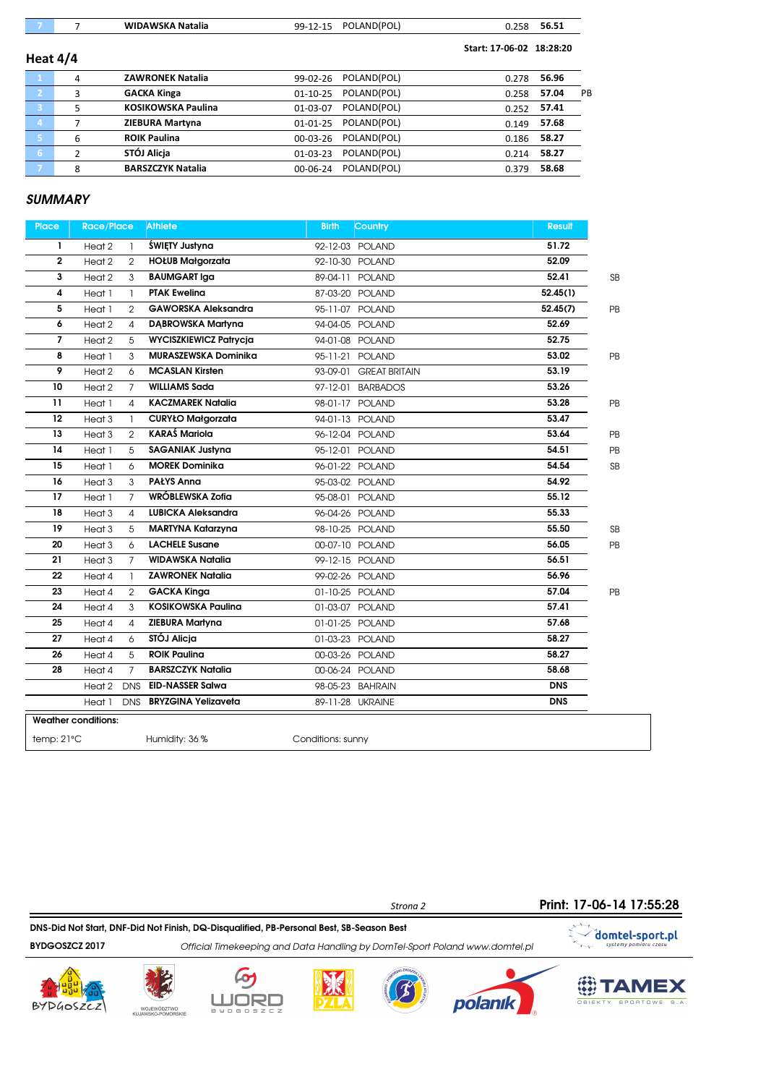| - 7                     |   | <b>WIDAWSKA Natalia</b>   | 99-12-15       | POLAND(POL)          | 0.258                    | 56.51 |    |
|-------------------------|---|---------------------------|----------------|----------------------|--------------------------|-------|----|
| Heat $4/4$              |   |                           |                |                      | Start: 17-06-02 18:28:20 |       |    |
| $\Box$ 1                | 4 | <b>ZAWRONEK Natalia</b>   | 99-02-26       | POLAND(POL)          | 0.278                    | 56.96 |    |
| $\mathbf{2}$            | 3 | <b>GACKA Kinga</b>        | $01 - 10 - 25$ | POLAND(POL)          | 0.258                    | 57.04 | PB |
| $\overline{\mathbf{3}}$ | 5 | <b>KOSIKOWSKA Paulina</b> | 01-03-07       | POLAND(POL)          | 0.252                    | 57.41 |    |
| $\overline{a}$          |   | <b>ZIEBURA Martyna</b>    | 01-01-25       | POLAND(POL)          | 0.149                    | 57.68 |    |
| 157                     | 6 | <b>ROIK Paulina</b>       |                | 00-03-26 POLAND(POL) | 0.186                    | 58.27 |    |
| 6                       | 2 | STÓJ Alicja               | $01-03-23$     | POLAND(POL)          | 0.214                    | 58.27 |    |
| -7.                     | 8 | <b>BARSZCZYK Natalia</b>  | 00-06-24       | POLAND(POL)          | 0.379                    | 58.68 |    |

| <b>Place</b>               | <b>Race/Place</b> |                | <b>Athlete</b>                | <b>Birth</b>      | Country                | <b>Result</b> |           |
|----------------------------|-------------------|----------------|-------------------------------|-------------------|------------------------|---------------|-----------|
| L                          | Heat 2            | -1             | ŚWIETY Justyna                |                   | 92-12-03 POLAND        | 51.72         |           |
| $\overline{\mathbf{2}}$    | Heat 2            | $\overline{2}$ | <b>HOŁUB Małgorzata</b>       |                   | 92-10-30 POLAND        | 52.09         |           |
| 3                          | Heat 2            | 3              | <b>BAUMGART Iga</b>           |                   | 89-04-11 POLAND        | 52.41         | <b>SB</b> |
| 4                          | Heat 1            | $\mathbf{1}$   | <b>PTAK Eweling</b>           |                   | 87-03-20 POLAND        | 52.45(1)      |           |
| 5                          | Heat 1            | $\overline{2}$ | <b>GAWORSKA Aleksandra</b>    |                   | 95-11-07 POLAND        | 52.45(7)      | PB        |
| 6                          | Heat 2            | $\overline{4}$ | <b>DABROWSKA Martyna</b>      |                   | 94-04-05 POLAND        | 52.69         |           |
| $\overline{7}$             | Heat 2            | 5              | <b>WYCISZKIEWICZ Patrycja</b> |                   | 94-01-08 POLAND        | 52.75         |           |
| 8                          | Heat 1            | 3              | <b>MURASZEWSKA Dominika</b>   |                   | 95-11-21 POLAND        | 53.02         | PB        |
| 9                          | Heat 2            | 6              | <b>MCASLAN Kirsten</b>        |                   | 93-09-01 GREAT BRITAIN | 53.19         |           |
| 10                         | Heat 2            | $\overline{7}$ | <b>WILLIAMS Sada</b>          |                   | 97-12-01 BARBADOS      | 53.26         |           |
| 11                         | Heat 1            | 4              | <b>KACZMAREK Natalia</b>      |                   | 98-01-17 POLAND        | 53.28         | PB        |
| 12                         | Heat 3            | -1             | <b>CURYŁO Małgorzata</b>      |                   | 94-01-13 POLAND        | 53.47         |           |
| 13                         | Heat <sub>3</sub> | $\overline{2}$ | <b>KARAŚ Mariola</b>          |                   | 96-12-04 POLAND        | 53.64         | PB        |
| 14                         | Heat 1            | 5              | <b>SAGANIAK Justyna</b>       |                   | 95-12-01 POLAND        | 54.51         | PB        |
| 15                         | Heat 1            | 6              | <b>MOREK Dominika</b>         |                   | 96-01-22 POLAND        | 54.54         | <b>SB</b> |
| 16                         | Heat <sub>3</sub> | 3              | <b>PAŁYS Anna</b>             |                   | 95-03-02 POLAND        | 54.92         |           |
| 17                         | Heat 1            | 7              | WRÓBLEWSKA Zofia              |                   | 95-08-01 POLAND        | 55.12         |           |
| 18                         | Heat <sub>3</sub> | 4              | <b>LUBICKA Aleksandra</b>     |                   | 96-04-26 POLAND        | 55.33         |           |
| 19                         | Heat 3            | 5              | <b>MARTYNA Katarzyna</b>      |                   | 98-10-25 POLAND        | 55.50         | <b>SB</b> |
| 20                         | Heat 3            | 6              | <b>LACHELE Susane</b>         |                   | 00-07-10 POLAND        | 56.05         | PB        |
| 21                         | Heat <sub>3</sub> | $\overline{7}$ | <b>WIDAWSKA Natalia</b>       |                   | 99-12-15 POLAND        | 56.51         |           |
| 22                         | Heat 4            | -1             | <b>ZAWRONEK Natalia</b>       |                   | 99-02-26 POLAND        | 56.96         |           |
| 23                         | Heat 4            | 2              | <b>GACKA Kinga</b>            |                   | 01-10-25 POLAND        | 57.04         | PB        |
| 24                         | Heat 4            | 3              | <b>KOSIKOWSKA Paulina</b>     |                   | 01-03-07 POLAND        | 57.41         |           |
| 25                         | Heat 4            | $\overline{A}$ | ZIEBURA Martyna               |                   | 01-01-25 POLAND        | 57.68         |           |
| 27                         | Heat 4            | 6              | STÓJ Alicja                   |                   | 01-03-23 POLAND        | 58.27         |           |
| 26                         | Heat 4            | 5              | <b>ROIK Paulina</b>           |                   | 00-03-26 POLAND        | 58.27         |           |
| 28                         | Heat 4            | $\overline{7}$ | <b>BARSZCZYK Natalia</b>      |                   | 00-06-24 POLAND        | 58.68         |           |
|                            | Heat 2            | <b>DNS</b>     | <b>EID-NASSER Salwa</b>       |                   | 98-05-23 BAHRAIN       | <b>DNS</b>    |           |
|                            | Heat 1            | <b>DNS</b>     | <b>BRYZGINA Yelizaveta</b>    |                   | 89-11-28 UKRAINE       | <b>DNS</b>    |           |
| <b>Weather conditions:</b> |                   |                |                               |                   |                        |               |           |
| temp: 21°C                 |                   |                | Humidity: 36 %                | Conditions: sunny |                        |               |           |

Strona 2 DNS-Did Not Start, DNF-Did Not Finish, DQ-Disqualified, PB-Personal Best, SB-Season Best  $\begin{picture}(120,110) \put(0,0){\line(1,0){10}} \put(15,0){\line(1,0){10}} \put(15,0){\line(1,0){10}} \put(15,0){\line(1,0){10}} \put(15,0){\line(1,0){10}} \put(15,0){\line(1,0){10}} \put(15,0){\line(1,0){10}} \put(15,0){\line(1,0){10}} \put(15,0){\line(1,0){10}} \put(15,0){\line(1,0){10}} \put(15,0){\line(1,0){10}} \put(15,0){\line$ domtel-sport.pl BYDGOSZCZ 2017 Official Timekeeping and Data Handling by DomTel-Sport Poland www.domtel.pl















Print: 17-06-14 17:55:28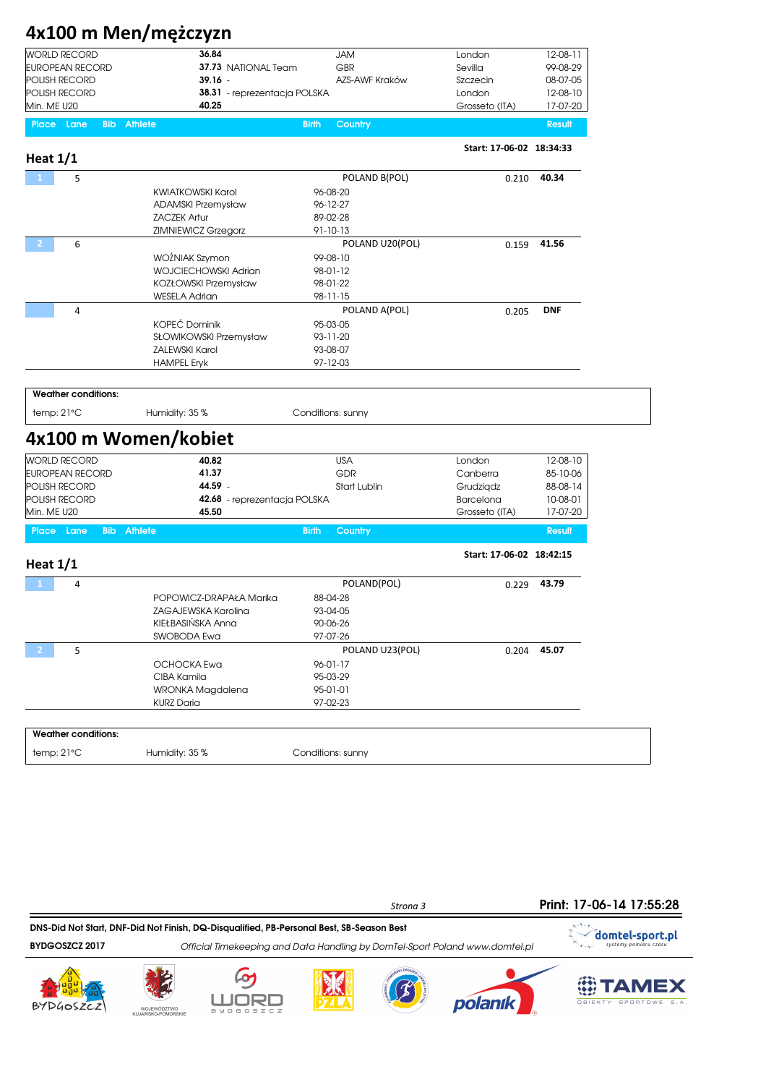# 4x100 m Men/mężczyzn

| WORLD RECORD    | 36.84                               | JAM            | London         | 12-08-1  |
|-----------------|-------------------------------------|----------------|----------------|----------|
| EUROPEAN RECORD | 37.73 NATIONAL Team                 | GBR            | Sevilla        | 99-08-29 |
| POLISH RECORD   | 39.16 -                             | AZS-AWF Kraków | Szczecin       | 08-07-05 |
| POLISH RECORD   | <b>38.31</b> - reprezentacja POLSKA |                | London         | 12-08-10 |
| Min. ME U20     | 40.25                               |                | Grosseto (ITA) | 17-07-20 |
|                 |                                     |                |                |          |

Place Lane Bib Athlete Bio and the Birth Country Result Birth Country Result

| Heat $1/1$             |                                        |                         | Start: 17-06-02 18:34:33 |               |
|------------------------|----------------------------------------|-------------------------|--------------------------|---------------|
| 5                      |                                        | POLAND B(POL)           | 0.210                    | 40.34         |
|                        | <b>KWIATKOWSKI Karol</b>               | 96-08-20                |                          |               |
|                        | <b>ADAMSKI Przemysław</b>              | 96-12-27                |                          |               |
|                        | <b>ZACZEK Artur</b>                    | 89-02-28                |                          |               |
|                        | ZIMNIEWICZ Grzegorz                    | 91-10-13                |                          |               |
| 6<br>$\overline{2}$    |                                        | POLAND U20(POL)         | 0.159                    | 41.56         |
|                        | WOŹNIAK Szymon                         | 99-08-10                |                          |               |
|                        | <b>WOJCIECHOWSKI Adrian</b>            | 98-01-12                |                          |               |
|                        | KOZŁOWSKI Przemysław                   | 98-01-22                |                          |               |
|                        | <b>WESELA Adrian</b>                   | 98-11-15                |                          |               |
| $\overline{4}$         |                                        | POLAND A(POL)           | 0.205                    | <b>DNF</b>    |
|                        | <b>KOPEĆ Dominik</b>                   | 95-03-05                |                          |               |
|                        | SŁOWIKOWSKI Przemysław                 | 93-11-20                |                          |               |
|                        | <b>ZALEWSKI Karol</b>                  | 93-08-07                |                          |               |
|                        | <b>HAMPEL Eryk</b>                     | 97-12-03                |                          |               |
| temp: 21°C             | Humidity: 35 %<br>4x100 m Women/kobiet | Conditions: sunny       |                          |               |
| <b>WORLD RECORD</b>    | 40.82                                  | <b>USA</b>              | London                   | 12-08-10      |
| <b>EUROPEAN RECORD</b> | 41.37                                  | <b>GDR</b>              | Canberra                 | 85-10-06      |
| POLISH RECORD          | 44.59 -                                | <b>Start Lublin</b>     | Grudzigdz                | 88-08-14      |
| POLISH RECORD          | 42.68 - reprezentacja POLSKA           |                         | Barcelona                | 10-08-01      |
| Min. ME U20            | 45.50                                  |                         | Grosseto (ITA)           | 17-07-20      |
| Place Lane             | <b>Bib</b> Athlete                     | <b>Birth</b><br>Country |                          | <b>Result</b> |
| Heat $1/1$             |                                        |                         | Start: 17-06-02 18:42:15 |               |
| 4                      |                                        | POLAND(POL)             | 0.229                    | 43.79         |
|                        | POPOWICZ-DRAPAŁA Marika                | 88-04-28                |                          |               |
|                        | ZAGAJEWSKA Karolina                    | 93-04-05                |                          |               |
|                        | KIEŁBASIŃSKA Anna                      | 90-06-26                |                          |               |
|                        | SWOBODA Ewa                            | 97-07-26                |                          |               |
| 5<br>2                 |                                        | POLAND U23(POL)         | 0.204                    | 45.07         |
|                        | OCHOCKA Ewa                            | 96-01-17                |                          |               |
|                        | CIBA Kamila                            | 95-03-29                |                          |               |
|                        | WRONKA Magdalena                       | 95-01-01                |                          |               |
|                        |                                        |                         |                          |               |

Weather conditions: temp: 21°C Humidity: 35 % Conditions: sunny









KURZ Daria 97-02-23





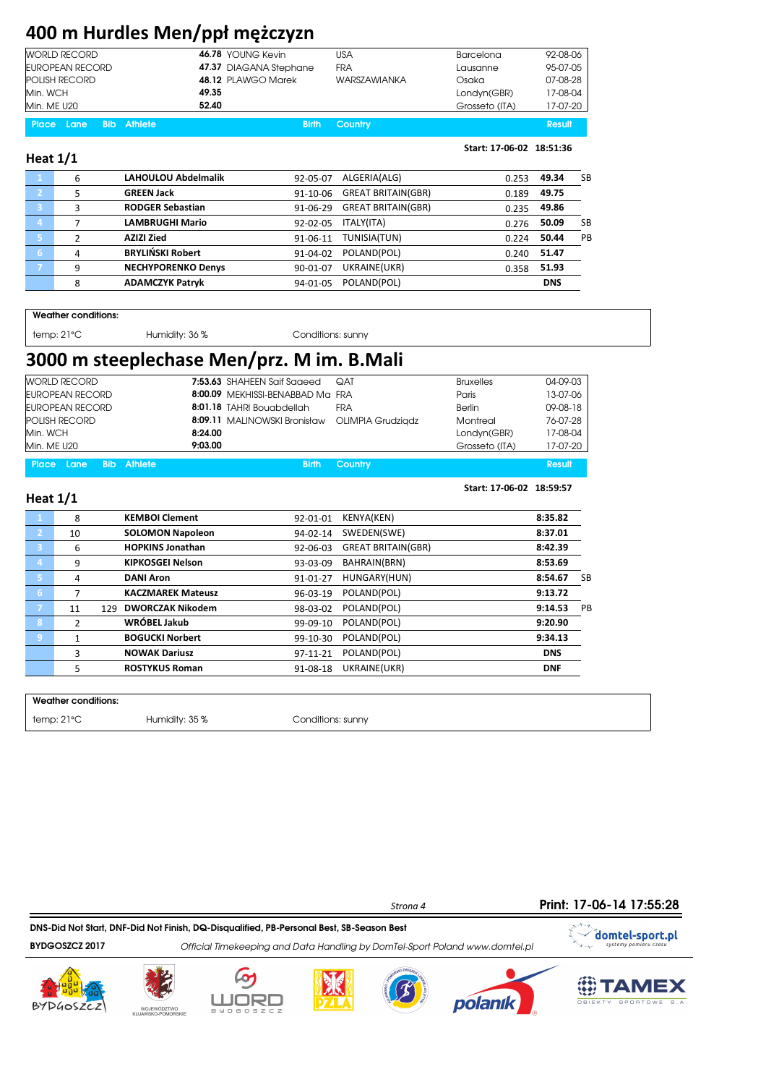# 400 m Hurdles Men/ppł mężczyzn

| WORLD RECORD         | 46.78 YOUNG Kevin      | USA                 | Barcelona      | 92-08-06 |
|----------------------|------------------------|---------------------|----------------|----------|
| EUROPEAN RECORD      | 47.37 DIAGANA Stephane | FRA                 | Lausanne       | 95-07-05 |
| <b>POLISH RECORD</b> | 48.12 PLAWGO Marek     | <b>WARSZAWIANKA</b> | Osaka          | 07-08-28 |
| Min. WCH             | 49.35                  |                     | Londyn(GBR)    | 17-08-04 |
| Min. ME U20          | 52.40                  |                     | Grosseto (ITA) | 17-07-20 |
|                      |                        |                     |                |          |

Place Lane Bib Athlete Birth Country Birth Country Result

### Heat 1/1

Start: 17-06-02 18:51:36

Start: 17-06-02 18:59:57

|                | 6 | <b>LAHOULOU Abdelmalik</b> | 92-05-07 | ALGERIA(ALG)              | 0.253 | 49.34      | SB |
|----------------|---|----------------------------|----------|---------------------------|-------|------------|----|
| $\overline{2}$ | 5 | <b>GREEN Jack</b>          | 91-10-06 | <b>GREAT BRITAIN(GBR)</b> | 0.189 | 49.75      |    |
| B              | 3 | <b>RODGER Sebastian</b>    | 91-06-29 | <b>GREAT BRITAIN(GBR)</b> | 0.235 | 49.86      |    |
| $\overline{4}$ |   | <b>LAMBRUGHI Mario</b>     | 92-02-05 | ITALY(ITA)                | 0.276 | 50.09      | SB |
| 67             |   | <b>AZIZI Zied</b>          | 91-06-11 | TUNISIA(TUN)              | 0.224 | 50.44      | PB |
| 6              | 4 | <b>BRYLINSKI Robert</b>    | 91-04-02 | POLAND(POL)               | 0.240 | 51.47      |    |
| 7              | 9 | <b>NECHYPORENKO Denys</b>  | 90-01-07 | UKRAINE(UKR)              | 0.358 | 51.93      |    |
|                | 8 | <b>ADAMCZYK Patryk</b>     | 94-01-05 | POLAND(POL)               |       | <b>DNS</b> |    |
|                |   |                            |          |                           |       |            |    |

Weather conditions:

temp: 21°C Humidity: 36 % Conditions: sunny

### 3000 m steeplechase Men/prz. M im. B.Mali

| <b>WORLD RECORD</b>              | 7:53.63 SHAHEEN Saif Saaeed<br><b>QAT</b>      | <b>Bruxelles</b> | 04-09-03 |
|----------------------------------|------------------------------------------------|------------------|----------|
| EUROPEAN RECORD                  | 8:00.09 MEKHISSI-BENABBAD Ma FRA               | Paris            | 13-07-06 |
| <b>EUROPEAN RECORD</b>           | 8:01.18 TAHRI Bouabdellah<br>FRA               | <b>Berlin</b>    | 09-08-18 |
| <b>POLISH RECORD</b>             | 8:09.11 MALINOWSKI Bronisław OLIMPIA Grudziądz | Montreal         | 76-07-28 |
| Min. WCH                         | 8:24.00                                        | Londyn(GBR)      | 17-08-04 |
| Min. ME U20                      | 9:03.00                                        | Grosseto (ITA)   | 17-07-20 |
| Place Lane<br><b>Bib</b> Athlete | Country<br><b>Birth</b>                        |                  | Result   |

| Heat 1/1 |  |
|----------|--|
|          |  |

| .            |                |                                |          |                           |            |     |
|--------------|----------------|--------------------------------|----------|---------------------------|------------|-----|
|              | 8              | <b>KEMBOI Clement</b>          | 92-01-01 | KENYA(KEN)                | 8:35.82    |     |
| $\mathbf{2}$ | 10             | <b>SOLOMON Napoleon</b>        | 94-02-14 | SWEDEN(SWE)               | 8:37.01    |     |
| 3            | 6              | <b>HOPKINS Jonathan</b>        | 92-06-03 | <b>GREAT BRITAIN(GBR)</b> | 8:42.39    |     |
| 4            | 9              | <b>KIPKOSGEI Nelson</b>        | 93-03-09 | BAHRAIN(BRN)              | 8:53.69    |     |
| -51          | 4              | <b>DANI Aron</b>               | 91-01-27 | HUNGARY(HUN)              | 8:54.67    | -SB |
| 6            | 7              | <b>KACZMAREK Mateusz</b>       | 96-03-19 | POLAND(POL)               | 9:13.72    |     |
|              | 11             | <b>DWORCZAK Nikodem</b><br>129 | 98-03-02 | POLAND(POL)               | 9:14.53    | PB  |
| 8            | $\overline{2}$ | WRÓBEL Jakub                   | 99-09-10 | POLAND(POL)               | 9:20.90    |     |
| 9            | 1              | <b>BOGUCKI Norbert</b>         | 99-10-30 | POLAND(POL)               | 9:34.13    |     |
|              | 3              | <b>NOWAK Dariusz</b>           | 97-11-21 | POLAND(POL)               | <b>DNS</b> |     |
|              | 5              | <b>ROSTYKUS Roman</b>          | 91-08-18 | UKRAINE(UKR)              | <b>DNF</b> |     |
|              |                |                                |          |                           |            |     |

Weather conditions:

temp: 21°C 

Humidity: 35 %

Humidity: 35 %

Conditions: sunny

Print: 17-06-14 17:55:28

T-

DNS-Did Not Start, DNF-Did Not Finish, DQ-Disqualified, PB-Personal Best, SB-Season Best

BYDGOSZCZ 2017 **Official Timekeeping and Data Handling by DomTel-Sport Poland www.domtel.pl** 











Strona 4



domtel-sport.pl

SPORTOWE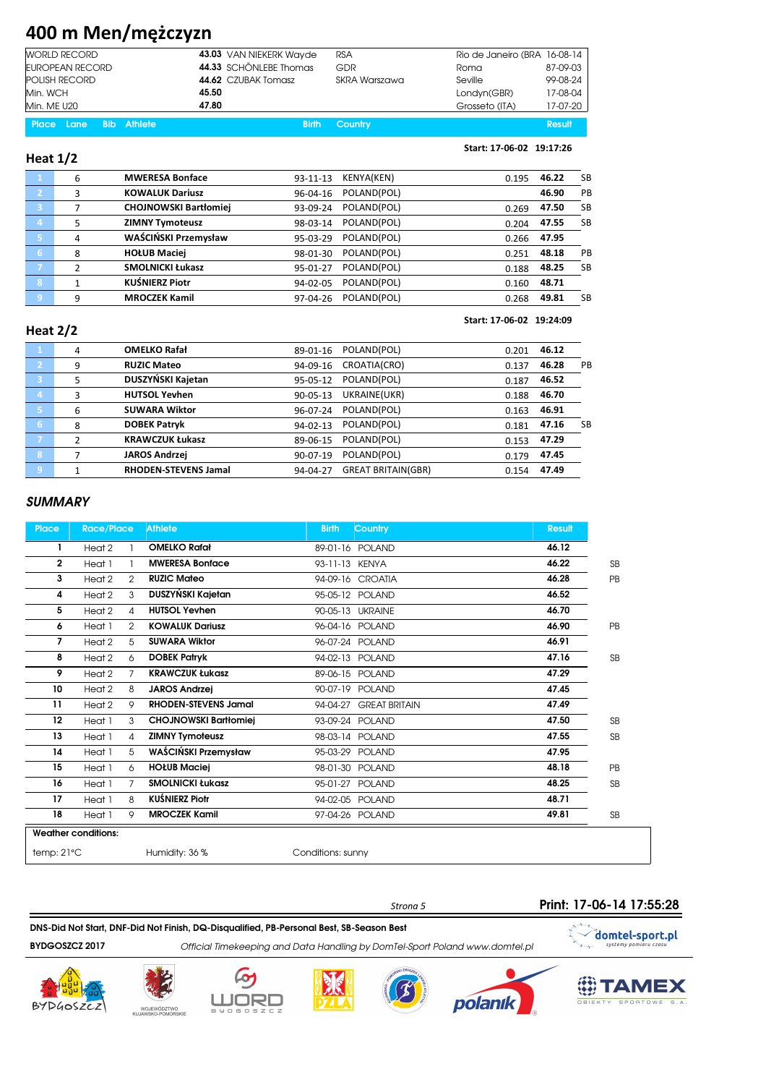# 400 m Men/mężczyzn

| <b>WORLD RECORD</b>  | 43.03 VAN NIEKERK Wayde | <b>RSA</b>    | Rio de Janeiro (BRA 16-08-14 |          |
|----------------------|-------------------------|---------------|------------------------------|----------|
| EUROPEAN RECORD      | 44.33 SCHÖNLEBE Thomas  | GDR           | Roma                         | 87-09-03 |
| <b>POLISH RECORD</b> | 44.62 CZUBAK Tomasz     | SKRA Warszawa | Seville                      | 99-08-24 |
| Min. WCH             | 45.50                   |               | Londyn(GBR)                  | 17-08-04 |
| Min. ME U20          | 47.80                   |               | Grosseto (ITA)               | 17-07-20 |

|  | <b>Place Lane Bib Athlete</b> | <b>Birth Country</b> | Result |
|--|-------------------------------|----------------------|--------|
|  |                               |                      |        |

#### Heat 1/2

#### Start: 17-06-02 19:17:26

|                | 6              | <b>MWERESA Bonface</b>       | $93 - 11 - 13$ | KENYA(KEN)  | 0.195 | 46.22 | <b>SB</b> |
|----------------|----------------|------------------------------|----------------|-------------|-------|-------|-----------|
| $\overline{2}$ | 3              | <b>KOWALUK Dariusz</b>       | 96-04-16       | POLAND(POL) |       | 46.90 | PB        |
| -3             | 7              | <b>CHOJNOWSKI Bartłomiej</b> | 93-09-24       | POLAND(POL) | 0.269 | 47.50 | <b>SB</b> |
| $\overline{4}$ | 5              | <b>ZIMNY Tymoteusz</b>       | 98-03-14       | POLAND(POL) | 0.204 | 47.55 | <b>SB</b> |
| 5.             | 4              | WAŚCIŃSKI Przemysław         | 95-03-29       | POLAND(POL) | 0.266 | 47.95 |           |
| 16.            | 8              | <b>HOŁUB Maciej</b>          | 98-01-30       | POLAND(POL) | 0.251 | 48.18 | PB        |
| 7              | $\mathfrak{p}$ | <b>SMOLNICKI Łukasz</b>      | 95-01-27       | POLAND(POL) | 0.188 | 48.25 | <b>SB</b> |
| $\overline{8}$ |                | <b>KUŚNIERZ Piotr</b>        | 94-02-05       | POLAND(POL) | 0.160 | 48.71 |           |
| 9              | 9              | <b>MROCZEK Kamil</b>         | 97-04-26       | POLAND(POL) | 0.268 | 49.81 | <b>SB</b> |
|                |                |                              |                |             |       |       |           |

#### Heat 2/2

#### Start: 17-06-02 19:24:09

| $\mathbf{1}$            | 4 | <b>OMELKO Rafał</b>         | 89-01-16       | POLAND(POL)               | 0.201 | 46.12       |           |
|-------------------------|---|-----------------------------|----------------|---------------------------|-------|-------------|-----------|
| - 21                    | 9 | <b>RUZIC Mateo</b>          | 94-09-16       | CROATIA(CRO)              | 0.137 | 46.28       | PB        |
| $\overline{\mathbf{3}}$ | 5 | DUSZYŃSKI Kajetan           | 95-05-12       | POLAND(POL)               | 0.187 | 46.52       |           |
| $\overline{a}$          | 3 | <b>HUTSOL Yevhen</b>        | $90 - 05 - 13$ | UKRAINE(UKR)              | 0.188 | 46.70       |           |
| 5                       | 6 | <b>SUWARA Wiktor</b>        | 96-07-24       | POLAND(POL)               | 0.163 | 46.91       |           |
| 6                       | 8 | <b>DOBEK Patryk</b>         | $94 - 02 - 13$ | POLAND(POL)               | 0.181 | 47.16       | <b>SB</b> |
| - 7                     | C | <b>KRAWCZUK Łukasz</b>      | 89-06-15       | POLAND(POL)               | 0.153 | 47.29       |           |
| 8                       |   | <b>JAROS Andrzej</b>        | 90-07-19       | POLAND(POL)               | 0.179 | 47.45       |           |
| 9                       | 1 | <b>RHODEN-STEVENS Jamal</b> | 94-04-27       | <b>GREAT BRITAIN(GBR)</b> |       | 0.154 47.49 |           |
|                         |   |                             |                |                           |       |             |           |

#### **SUMMARY**

| <b>Place</b>   | <b>Race/Place</b>          |                | <b>Athlete</b>               | Country<br><b>Birth</b>          | <b>Result</b> |           |
|----------------|----------------------------|----------------|------------------------------|----------------------------------|---------------|-----------|
| L              | Heat 2                     |                | <b>OMELKO Rafał</b>          | 89-01-16 POLAND                  | 46.12         |           |
| $\overline{2}$ | Heat 1                     |                | <b>MWERESA Bonface</b>       | 93-11-13 KENYA                   | 46.22         | <b>SB</b> |
| 3              | Heat 2                     | $\overline{2}$ | <b>RUZIC Mateo</b>           | 94-09-16 CROATIA                 | 46.28         | PB        |
| 4              | Heat 2                     | 3              | DUSZYŃSKI Kajetan            | 95-05-12 POLAND                  | 46.52         |           |
| 5              | Heat 2                     | 4              | <b>HUTSOL Yevhen</b>         | 90-05-13 UKRAINE                 | 46.70         |           |
| 6              | Heat 1                     | 2              | <b>KOWALUK Dariusz</b>       | 96-04-16 POLAND                  | 46.90         | PB        |
| 7              | Heat 2                     | 5              | <b>SUWARA Wiktor</b>         | 96-07-24 POLAND                  | 46.91         |           |
| 8              | Heat 2                     | 6              | <b>DOBEK Patrvk</b>          | 94-02-13 POLAND                  | 47.16         | <b>SB</b> |
| 9              | Heat 2                     | $\overline{7}$ | <b>KRAWCZUK Łukasz</b>       | 89-06-15 POLAND                  | 47.29         |           |
| 10             | Heat 2                     | 8              | <b>JAROS Andrzej</b>         | 90-07-19 POLAND                  | 47.45         |           |
| 11             | Heat 2                     | 9              | <b>RHODEN-STEVENS Jamal</b>  | <b>GREAT BRITAIN</b><br>94-04-27 | 47.49         |           |
| 12             | Heat 1                     | 3              | <b>CHOJNOWSKI Bartłomiei</b> | 93-09-24 POLAND                  | 47.50         | <b>SB</b> |
| 13             | Heat 1                     | 4              | <b>ZIMNY Tymoteusz</b>       | 98-03-14 POLAND                  | 47.55         | <b>SB</b> |
| 14             | Heat 1                     | 5              | WAŚCIŃSKI Przemysław         | 95-03-29 POLAND                  | 47.95         |           |
| 15             | Heat 1                     | 6              | <b>HOŁUB Maciej</b>          | 98-01-30 POLAND                  | 48.18         | PB        |
| 16             | Heat 1                     | 7              | <b>SMOLNICKI Łukasz</b>      | 95-01-27 POLAND                  | 48.25         | <b>SB</b> |
| 17             | Heat 1                     | 8              | <b>KUŚNIERZ Piotr</b>        | 94-02-05 POLAND                  | 48.71         |           |
| 18             | Heat 1                     | 9              | <b>MROCZEK Kamil</b>         | 97-04-26 POLAND                  | 49.81         | <b>SB</b> |
|                | <b>Weather conditions:</b> |                |                              |                                  |               |           |
| temp:21°C      |                            |                | Humidity: 36 %               | Conditions: sunny                |               |           |

### Print: 17-06-14 17:55:28

DNS-Did Not Start, DNF-Did Not Finish, DQ-Disqualified, PB-Personal Best, SB-Season Best

BYDGOSZCZ 2017 Official Timekeeping and Data Handling by DomTel-Sport Poland www.domtel.pl











Strona 5



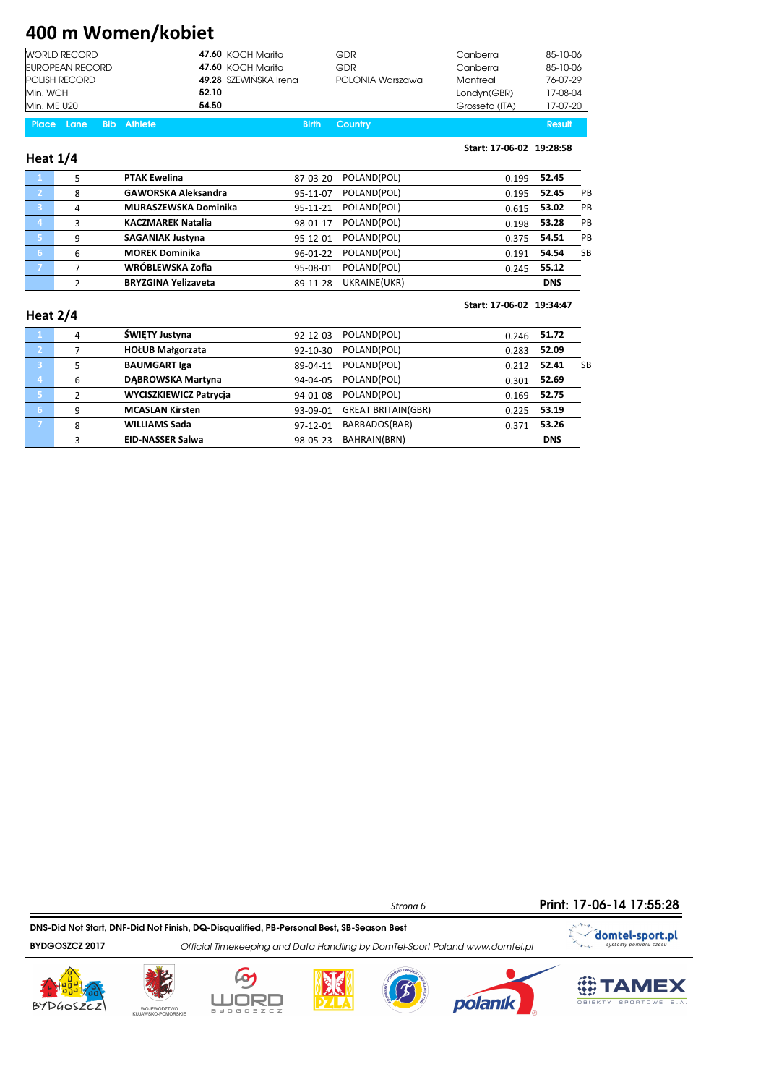# 400 m Women/kobiet

| <b>WORLD RECORD</b>  | <b>47.60 KOCH Marita</b> | GDR              | Canberra       | 85-10-06 |
|----------------------|--------------------------|------------------|----------------|----------|
| EUROPEAN RECORD      | <b>47.60 KOCH Marita</b> | GDR              | Canberra       | 85-10-06 |
| <b>POLISH RECORD</b> | 49.28 SZEWIŃSKA Irena    | POLONIA Warszawa | Montreal       | 76-07-29 |
| Min. WCH             | 52.10                    |                  | Londyn(GBR)    | 17-08-04 |
| Min. ME U20          | 54.50                    |                  | Grosseto (ITA) | 17-07-20 |

|  | <b>Place Lane Bib Athlete</b> | Result<br><b>Birth Country</b> |  |
|--|-------------------------------|--------------------------------|--|
|  |                               |                                |  |

#### Heat 1/4

#### Start: 17-06-02 19:28:58

|   | <b>PTAK Ewelina</b>         | 87-03-20 | POLAND(POL)  | 0.199 | 52.45      |           |
|---|-----------------------------|----------|--------------|-------|------------|-----------|
| 8 | <b>GAWORSKA Aleksandra</b>  | 95-11-07 | POLAND(POL)  | 0.195 | 52.45      | PB        |
| 4 | <b>MURASZEWSKA Dominika</b> | 95-11-21 | POLAND(POL)  | 0.615 | 53.02      | <b>PB</b> |
| 3 | <b>KACZMAREK Natalia</b>    | 98-01-17 | POLAND(POL)  | 0.198 | 53.28      | <b>PB</b> |
| 9 | <b>SAGANIAK Justyna</b>     | 95-12-01 | POLAND(POL)  | 0.375 | 54.51      | PB        |
| 6 | <b>MOREK Dominika</b>       | 96-01-22 | POLAND(POL)  | 0.191 | 54.54      | SB        |
| ⇁ | WRÓBLEWSKA Zofia            | 95-08-01 | POLAND(POL)  | 0.245 | 55.12      |           |
|   | <b>BRYZGINA Yelizaveta</b>  | 89-11-28 | UKRAINE(UKR) |       | <b>DNS</b> |           |
|   |                             |          |              |       |            |           |

#### Heat 2/4

#### Start: 17-06-02 19:34:47

|                | 4 | ŚWIETY Justyna                | $92 - 12 - 03$ | POLAND(POL)               | 0.246 | 51.72      |    |
|----------------|---|-------------------------------|----------------|---------------------------|-------|------------|----|
| $\overline{2}$ |   | <b>HOŁUB Małgorzata</b>       | 92-10-30       | POLAND(POL)               | 0.283 | 52.09      |    |
| 3              |   | <b>BAUMGART Iga</b>           | 89-04-11       | POLAND(POL)               | 0.212 | 52.41      | SB |
| $\overline{4}$ | 6 | DABROWSKA Martyna             | 94-04-05       | POLAND(POL)               | 0.301 | 52.69      |    |
| Ι5.            | ∍ | <b>WYCISZKIEWICZ Patrycia</b> | 94-01-08       | POLAND(POL)               | 0.169 | 52.75      |    |
| 6              | 9 | <b>MCASLAN Kirsten</b>        | 93-09-01       | <b>GREAT BRITAIN(GBR)</b> | 0.225 | 53.19      |    |
|                | 8 | <b>WILLIAMS Sada</b>          | 97-12-01       | BARBADOS(BAR)             | 0.371 | 53.26      |    |
|                | 3 | <b>EID-NASSER Salwa</b>       | 98-05-23       | BAHRAIN(BRN)              |       | <b>DNS</b> |    |
|                |   |                               |                |                           |       |            |    |

Print: 17-06-14 17:55:28

DNS-Did Not Start, DNF-Did Not Finish, DQ-Disqualified, PB-Personal Best, SB-Season Best

BYDGOSZCZ 2017 Official Timekeeping and Data Handling by DomTel-Sport Poland www.domtel.pl











Strona 6

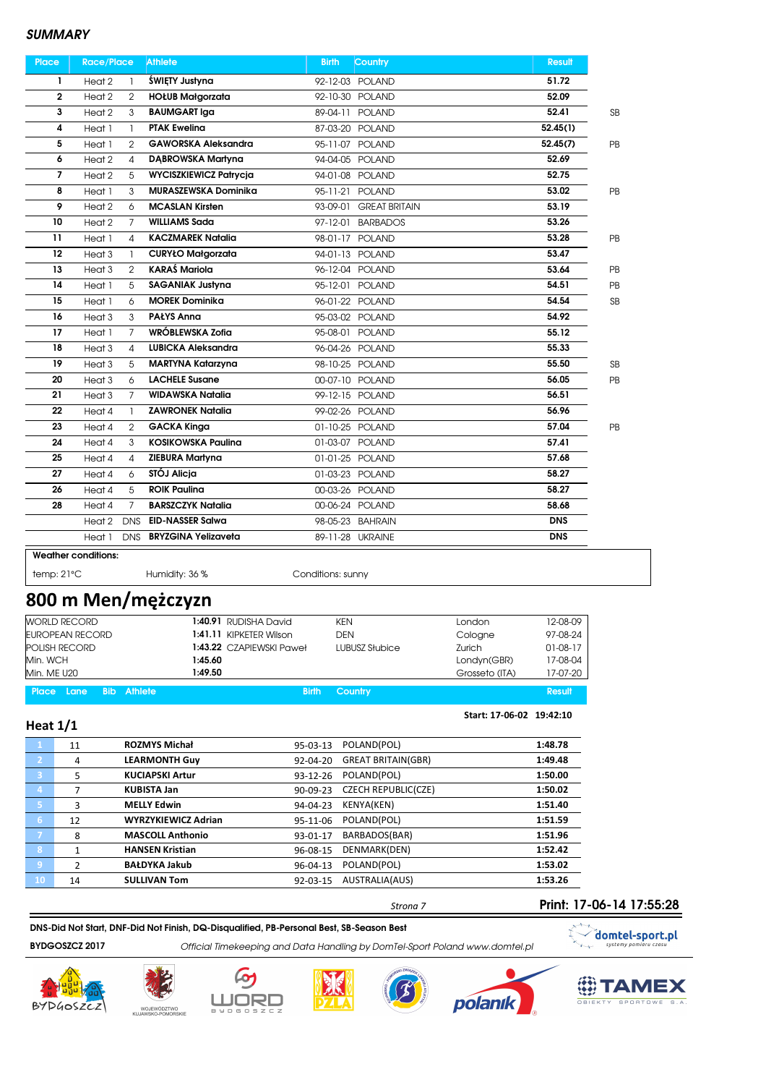| <b>Place</b> | <b>Race/Place</b>                   | <b>Athlete</b>                | <b>Birth</b><br><b>Country</b>   | <b>Result</b> |    |
|--------------|-------------------------------------|-------------------------------|----------------------------------|---------------|----|
| 1            | Heat <sub>2</sub><br>-1             | ŚWIETY Justyna                | 92-12-03 POLAND                  | 51.72         |    |
| $\mathbf{2}$ | Heat <sub>2</sub><br>2              | <b>HOŁUB Małgorzata</b>       | 92-10-30 POLAND                  | 52.09         |    |
| 3            | Heat <sub>2</sub><br>3              | <b>BAUMGART Iga</b>           | 89-04-11 POLAND                  | 52.41         | SB |
| 4            | Heat 1<br>1                         | <b>PTAK Eweling</b>           | 87-03-20 POLAND                  | 52.45(1)      |    |
| 5            | Heat 1<br>$\mathcal{P}$             | <b>GAWORSKA Aleksandra</b>    | 95-11-07 POLAND                  | 52.45(7)      | PB |
| 6            | Heat <sub>2</sub><br>4              | <b>DABROWSKA Martyna</b>      | 94-04-05 POLAND                  | 52.69         |    |
| 7            | Heat 2<br>5                         | <b>WYCISZKIEWICZ Patrycja</b> | 94-01-08 POLAND                  | 52.75         |    |
| 8            | Heat 1<br>3                         | MURASZEWSKA Dominika          | 95-11-21 POLAND                  | 53.02         | PB |
| 9            | Heat <sub>2</sub><br>6              | <b>MCASLAN Kirsten</b>        | 93-09-01<br><b>GREAT BRITAIN</b> | 53.19         |    |
| 10           | Heat <sub>2</sub><br>$\overline{7}$ | <b>WILLIAMS Sada</b>          | 97-12-01<br><b>BARBADOS</b>      | 53.26         |    |
| 11           | Heat 1<br>4                         | <b>KACZMAREK Natalia</b>      | 98-01-17 POLAND                  | 53.28         | PB |
| 12           | Heat <sub>3</sub><br>$\mathbf{1}$   | <b>CURYŁO Małgorzata</b>      | 94-01-13 POLAND                  | 53.47         |    |
| 13           | Heat 3<br>2                         | <b>KARAŚ Mariola</b>          | 96-12-04 POLAND                  | 53.64         | PB |
| 14           | Heat 1<br>5                         | <b>SAGANIAK Justyna</b>       | 95-12-01 POLAND                  | 54.51         | PB |
| 15           | Heat 1<br>6                         | <b>MOREK Dominika</b>         | 96-01-22 POLAND                  | 54.54         | SB |
| 16           | Heat <sub>3</sub><br>3              | <b>PAŁYS Anna</b>             | 95-03-02 POLAND                  | 54.92         |    |
| 17           | Heat 1<br>$\overline{7}$            | WRÓBLEWSKA Zofia              | 95-08-01 POLAND                  | 55.12         |    |
| 18           | Heat 3<br>4                         | <b>LUBICKA Aleksandra</b>     | 96-04-26 POLAND                  | 55.33         |    |
| 19           | Heat <sub>3</sub><br>5              | <b>MARTYNA Katarzyna</b>      | 98-10-25 POLAND                  | 55.50         | SB |
| 20           | Heat 3<br>6                         | <b>LACHELE Susane</b>         | 00-07-10 POLAND                  | 56.05         | PB |
| 21           | $\overline{7}$<br>Heat 3            | <b>WIDAWSKA Natalia</b>       | 99-12-15 POLAND                  | 56.51         |    |
| 22           | Heat 4<br>1                         | <b>ZAWRONEK Natalia</b>       | 99-02-26 POLAND                  | 56.96         |    |
| 23           | Heat 4<br>2                         | <b>GACKA Kinga</b>            | 01-10-25 POLAND                  | 57.04         | PB |
| 24           | Heat 4<br>3                         | <b>KOSIKOWSKA Paulina</b>     | 01-03-07 POLAND                  | 57.41         |    |
| 25           | Heat 4<br>4                         | <b>ZIEBURA Martyna</b>        | 01-01-25 POLAND                  | 57.68         |    |
| 27           | Heat 4<br>6                         | STÓJ Alicja                   | 01-03-23 POLAND                  | 58.27         |    |
| 26           | 5<br>Heat 4                         | <b>ROIK Paulina</b>           | 00-03-26 POLAND                  | 58.27         |    |
| 28           | $\overline{7}$<br>Heat 4            | <b>BARSZCZYK Natalia</b>      | 00-06-24 POLAND                  | 58.68         |    |
|              | Heat 2<br><b>DNS</b>                | <b>EID-NASSER Salwa</b>       | 98-05-23 BAHRAIN                 | <b>DNS</b>    |    |
|              | Heat 1<br><b>DNS</b>                | <b>BRYZGINA Yelizaveta</b>    | 89-11-28 UKRAINE                 | <b>DNS</b>    |    |
|              | <b>Weather conditions:</b>          |                               |                                  |               |    |

temp: 21°C Humidity: 36 % Conditions: sunny

# 800 m Men/mężczyzn

| <b>WORLD RECORD</b>    | 1:40.91 RUDISHA David    | <b>KEN</b>     | London         | 12-08-09   |
|------------------------|--------------------------|----------------|----------------|------------|
| <b>EUROPEAN RECORD</b> | 1:41.11 KIPKETER Wilson  | DEN            | Cologne        | 97-08-24   |
| <b>POLISH RECORD</b>   | 1:43.22 CZAPIEWSKI Paweł | LUBUSZ Słubice | Zurich         | $01-08-17$ |
| Min. WCH               | 1:45.60                  |                | Londyn(GBR)    | 17-08-04   |
| Min. ME U20            | 1:49.50                  |                | Grosseto (ITA) | 17-07-20   |
|                        |                          |                |                |            |

Place Lane Bib Athlete Birth Country Birth Country Birth Country Result

#### Start: 17-06-02 19:42:10

| Heat $1/1$              |    |                            |                |                            |         |
|-------------------------|----|----------------------------|----------------|----------------------------|---------|
| 74                      | 11 | <b>ROZMYS Michał</b>       | 95-03-13       | POLAND(POL)                | 1:48.78 |
| $\overline{2}$          | 4  | <b>LEARMONTH Guy</b>       | 92-04-20       | <b>GREAT BRITAIN(GBR)</b>  | 1:49.48 |
| $\overline{\mathbf{3}}$ | 5  | <b>KUCIAPSKI Artur</b>     | 93-12-26       | POLAND(POL)                | 1:50.00 |
| $\overline{4}$          |    | <b>KUBISTA Jan</b>         | $90 - 09 - 23$ | <b>CZECH REPUBLIC(CZE)</b> | 1:50.02 |
| -5                      | 3  | <b>MELLY Edwin</b>         | 94-04-23       | <b>KENYA(KEN)</b>          | 1:51.40 |
| 6                       | 12 | <b>WYRZYKIEWICZ Adrian</b> | 95-11-06       | POLAND(POL)                | 1:51.59 |
| $\overline{7}$          | 8  | <b>MASCOLL Anthonio</b>    | 93-01-17       | BARBADOS(BAR)              | 1:51.96 |
| 8                       | 1  | <b>HANSEN Kristian</b>     | 96-08-15       | DENMARK(DEN)               | 1:52.42 |
| $\overline{9}$          | 2  | <b>BAŁDYKA Jakub</b>       | 96-04-13       | POLAND(POL)                | 1:53.02 |
| 10                      | 14 | <b>SULLIVAN Tom</b>        | 92-03-15       | AUSTRALIA(AUS)             | 1:53.26 |

### DNS-Did Not Start, DNF-Did Not Finish, DQ-Disqualified, PB-Personal Best, SB-Season Best

BYDGOSZCZ 2017 Official Timekeeping and Data Handling by DomTel-Sport Poland www.domtel.pl











Strona 7



bod.

 $\mathbf{V}_{\text{max}}$ 

Print: 17-06-14 17:55:28

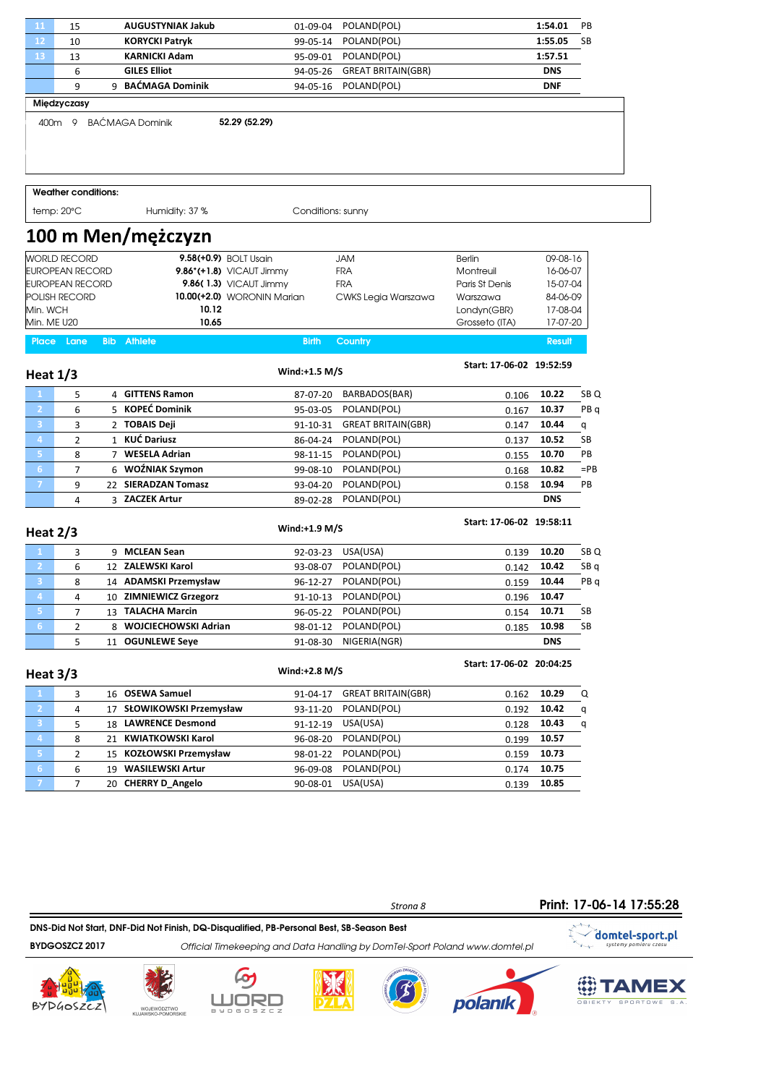| 11                                     | 15                         |            | <b>AUGUSTYNIAK Jakub</b>                       | 01-09-04             | POLAND(POL)                |                          | 1:54.01        | PB              |
|----------------------------------------|----------------------------|------------|------------------------------------------------|----------------------|----------------------------|--------------------------|----------------|-----------------|
| 12                                     | 10                         |            | <b>KORYCKI Patryk</b>                          | 99-05-14             | POLAND(POL)                |                          | 1:55.05        | SB              |
| 13                                     | 13                         |            | <b>KARNICKI Adam</b>                           | 95-09-01             | POLAND(POL)                |                          | 1:57.51        |                 |
|                                        | 6                          |            | <b>GILES Elliot</b>                            | 94-05-26             | <b>GREAT BRITAIN(GBR)</b>  |                          | <b>DNS</b>     |                 |
|                                        | 9                          |            | 9 BAĆMAGA Dominik                              | 94-05-16             | POLAND(POL)                |                          | <b>DNF</b>     |                 |
|                                        | Miedzyczasy                |            |                                                |                      |                            |                          |                |                 |
|                                        |                            |            | 52.29 (52.29)<br>400m 9 BAĆMAGA Dominik        |                      |                            |                          |                |                 |
|                                        | <b>Weather conditions:</b> |            |                                                |                      |                            |                          |                |                 |
| temp: 20°C                             |                            |            | Humidity: 37 %                                 | Conditions: sunny    |                            |                          |                |                 |
|                                        |                            |            | 100 m Men/mężczyzn                             |                      |                            |                          |                |                 |
|                                        | <b>WORLD RECORD</b>        |            | 9.58(+0.9) BOLT Usain                          |                      | <b>JAM</b>                 | <b>Berlin</b>            | 09-08-16       |                 |
|                                        | <b>EUROPEAN RECORD</b>     |            | 9.86 $*(+1.8)$ VICAUT Jimmy                    |                      | <b>FRA</b>                 | Montreuil                | 16-06-07       |                 |
|                                        | <b>EUROPEAN RECORD</b>     |            | 9.86(1.3) VICAUT Jimmy                         |                      | <b>FRA</b>                 | Paris St Denis           | 15-07-04       |                 |
|                                        | POLISH RECORD              |            | 10.00(+2.0) WORONIN Marian                     |                      | CWKS Legia Warszawa        | Warszawa                 | 84-06-09       |                 |
| Min. WCH                               |                            |            | 10.12                                          |                      |                            | Londyn(GBR)              | 17-08-04       |                 |
| Min. ME U20                            |                            |            | 10.65                                          |                      |                            | Grosseto (ITA)           | 17-07-20       |                 |
| <b>Place</b>                           | Lane                       | <b>Bib</b> | <b>Athlete</b>                                 | <b>Birth</b>         | <b>Country</b>             |                          | <b>Result</b>  |                 |
| Heat $1/3$                             |                            |            |                                                | $Wind: +1.5 M/S$     |                            | Start: 17-06-02 19:52:59 |                |                 |
| 1                                      | 5                          |            | 4 GITTENS Ramon                                | 87-07-20             | BARBADOS(BAR)              | 0.106                    | 10.22          | SB <sub>Q</sub> |
| $\overline{2}$                         | 6                          |            | 5 KOPEĆ Dominik                                | 95-03-05             | POLAND(POL)                | 0.167                    | 10.37          | PB <sub>q</sub> |
| 3                                      | 3                          |            | 2 TOBAIS Deji                                  | 91-10-31             | <b>GREAT BRITAIN(GBR)</b>  | 0.147                    | 10.44          | q               |
| 4                                      | $\overline{2}$             |            | 1 KUĆ Dariusz                                  | 86-04-24             | POLAND(POL)                | 0.137                    | 10.52          | SB              |
| 5.                                     | 8                          |            | 7 WESELA Adrian                                | 98-11-15             | POLAND(POL)                | 0.155                    | 10.70          | PB              |
| 6 <sup>1</sup>                         | 7                          |            | 6 WOŻNIAK Szymon                               | 99-08-10             | POLAND(POL)                | 0.168                    | 10.82          | $=$ PB          |
| $\mathcal{T}$                          | 9                          |            | 22 SIERADZAN Tomasz                            | 93-04-20             | POLAND(POL)                | 0.158                    | 10.94          | PB              |
|                                        | 4                          |            | 3 ZACZEK Artur                                 | 89-02-28             | POLAND(POL)                |                          | <b>DNS</b>     |                 |
| Heat $2/3$                             |                            |            |                                                | Wind:+1.9 M/S        |                            | Start: 17-06-02 19:58:11 |                |                 |
| 1                                      | 3                          |            | 9 MCLEAN Sean                                  | 92-03-23             | USA(USA)                   | 0.139                    | 10.20          | SB Q            |
| $\overline{2}$                         | 6                          |            | 12 ZALEWSKI Karol                              | 93-08-07             | POLAND(POL)                | 0.142                    | 10.42          | SB <sub>q</sub> |
| 3                                      | 8                          |            | 14 ADAMSKI Przemysław                          | 96-12-27             | POLAND(POL)                | 0.159                    | 10.44          | PB <sub>q</sub> |
|                                        | 4                          |            | 10 ZIMNIEWICZ Grzegorz                         | 91-10-13             | POLAND(POL)                | 0.196                    | 10.47          |                 |
| 5 <sub>1</sub>                         | 7                          |            | 13 TALACHA Marcin                              | 96-05-22             | POLAND(POL)                | 0.154                    | 10.71          | SB              |
| 6 <sup>1</sup>                         | 2                          |            | 8 WOJCIECHOWSKI Adrian                         | 98-01-12             | POLAND(POL)                | 0.185                    | 10.98          | SB              |
|                                        | 5                          |            | 11 OGUNLEWE Seye                               | 91-08-30             | NIGERIA(NGR)               |                          | <b>DNS</b>     |                 |
| Heat 3/3                               |                            |            |                                                | Wind:+2.8 M/S        |                            | Start: 17-06-02 20:04:25 |                |                 |
|                                        | 3                          |            | 16 OSEWA Samuel                                | 91-04-17             | <b>GREAT BRITAIN(GBR)</b>  | 0.162                    | 10.29          | Q               |
| $\mathbf{2}$                           | 4                          |            | 17 SŁOWIKOWSKI Przemysław                      | 93-11-20             | POLAND(POL)                | 0.192                    | 10.42          | q               |
|                                        | 5                          |            | 18 LAWRENCE Desmond                            | 91-12-19             | USA(USA)                   | 0.128                    | 10.43          | q               |
|                                        |                            |            | 21 KWIATKOWSKI Karol                           | 96-08-20             | POLAND(POL)                | 0.199                    | 10.57          |                 |
| $\overline{\mathbf{3}}$                |                            |            |                                                |                      |                            |                          |                |                 |
| $\overline{4}$                         | 8                          |            |                                                |                      |                            |                          |                |                 |
| $\mathbf{5}^{\circ}$<br>6 <sub>1</sub> | 2<br>6                     |            | 15 KOZŁOWSKI Przemysław<br>19 WASILEWSKI Artur | 98-01-22<br>96-09-08 | POLAND(POL)<br>POLAND(POL) | 0.159<br>0.174           | 10.73<br>10.75 |                 |

Print: 17-06-14 17:55:28

DNS-Did Not Start, DNF-Did Not Finish, DQ-Disqualified, PB-Personal Best, SB-Season Best

BYDGOSZCZ 2017 Official Timekeeping and Data Handling by DomTel-Sport Poland www.domtel.pl











Strona 8

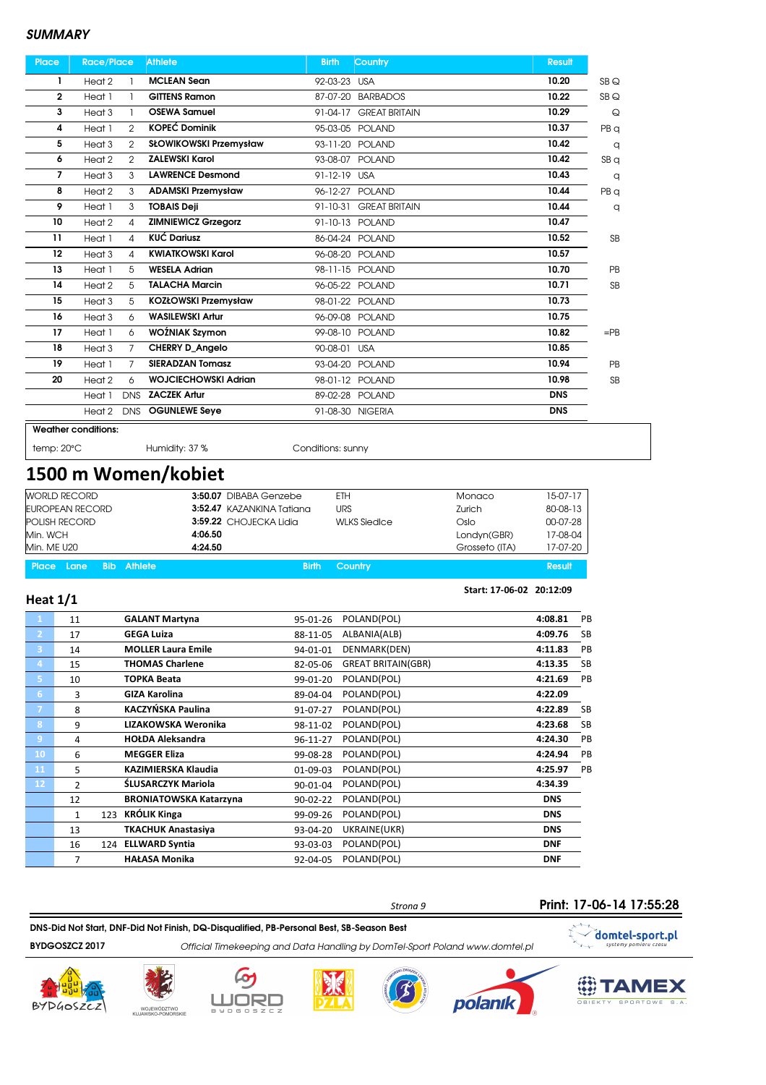| <b>Place</b>    | <b>Race/Place</b>                   | <b>Athlete</b>              | <b>Birth</b><br><b>Country</b>   | <b>Result</b> |                 |
|-----------------|-------------------------------------|-----------------------------|----------------------------------|---------------|-----------------|
| 1               | Heat 2                              | <b>MCLEAN Sean</b>          | 92-03-23 USA                     | 10.20         | SBQ             |
| 2               | Heat 1                              | <b>GITTENS Ramon</b>        | <b>BARBADOS</b><br>87-07-20      | 10.22         | SBQ             |
| 3               | Heat <sub>3</sub><br>1              | <b>OSEWA Samuel</b>         | 91-04-17 GREAT BRITAIN           | 10.29         | $\mathsf Q$     |
| 4               | Heat 1<br>$\overline{2}$            | <b>KOPEĆ Dominik</b>        | 95-03-05 POLAND                  | 10.37         | PB q            |
| 5               | Heat <sub>3</sub><br>$\mathcal{P}$  | SŁOWIKOWSKI Przemysław      | 93-11-20 POLAND                  | 10.42         | q               |
| 6               | Heat 2<br>$\overline{2}$            | <b>ZALEWSKI Karol</b>       | 93-08-07 POLAND                  | 10.42         | SB <sub>q</sub> |
| 7               | 3<br>Heat <sub>3</sub>              | <b>LAWRENCE Desmond</b>     | 91-12-19 USA                     | 10.43         | q               |
| 8               | Heat 2<br>3                         | <b>ADAMSKI Przemysław</b>   | 96-12-27 POLAND                  | 10.44         | PB a            |
| 9               | Heat 1<br>3                         | <b>TOBAIS Deji</b>          | 91-10-31<br><b>GREAT BRITAIN</b> | 10.44         | q               |
| 10              | Heat 2<br>4                         | <b>ZIMNIEWICZ Grzegorz</b>  | 91-10-13 POLAND                  | 10.47         |                 |
| $\overline{11}$ | Heat 1<br>4                         | <b>KUĆ Dariusz</b>          | 86-04-24 POLAND                  | 10.52         | <b>SB</b>       |
| 12              | Heat <sub>3</sub><br>4              | <b>KWIATKOWSKI Karol</b>    | 96-08-20 POLAND                  | 10.57         |                 |
| 13              | Heat 1<br>5                         | <b>WESELA Adrian</b>        | 98-11-15 POLAND                  | 10.70         | <b>PB</b>       |
| 14              | Heat 2<br>5                         | <b>TALACHA Marcin</b>       | 96-05-22 POLAND                  | 10.71         | <b>SB</b>       |
| 15              | Heat <sub>3</sub><br>5              | <b>KOZŁOWSKI Przemysław</b> | 98-01-22 POLAND                  | 10.73         |                 |
| 16              | Heat <sub>3</sub><br>6              | <b>WASILEWSKI Artur</b>     | 96-09-08 POLAND                  | 10.75         |                 |
| 17              | Heat 1<br>6                         | WOŹNIAK Szymon              | 99-08-10 POLAND                  | 10.82         | $=$ PB          |
| 18              | $\overline{7}$<br>Heat <sub>3</sub> | <b>CHERRY D Angelo</b>      | 90-08-01 USA                     | 10.85         |                 |
| 19              | Heat 1<br>7                         | <b>SIERADZAN Tomasz</b>     | 93-04-20 POLAND                  | 10.94         | <b>PB</b>       |
| 20              | Heat 2<br>6                         | <b>WOJCIECHOWSKI Adrian</b> | 98-01-12 POLAND                  | 10.98         | <b>SB</b>       |
|                 | <b>DNS</b><br>Heat 1                | <b>ZACZEK Artur</b>         | 89-02-28 POLAND                  | <b>DNS</b>    |                 |
|                 | Heat 2<br><b>DNS</b>                | <b>OGUNLEWE Seye</b>        | 91-08-30 NIGERIA                 | <b>DNS</b>    |                 |
|                 | <b>Weather conditions:</b>          |                             |                                  |               |                 |

temp: 20°C Humidity: 37 % Conditions: sunny

1500 m Women/kobiet

| <b>Place Lane</b><br><b>Bib</b> Athlete | <b>Birth</b>              | Country             |                | <b>Result</b> |
|-----------------------------------------|---------------------------|---------------------|----------------|---------------|
| Min. ME U20                             | 4:24.50                   |                     | Grosseto (ITA) | 17-07-20      |
| Min. WCH                                | 4:06.50                   |                     | Londyn(GBR)    | 17-08-04      |
| <b>POLISH RECORD</b>                    | 3:59.22 CHOJECKA Lidia    | <b>WLKS Siedlce</b> | Oslo           | 00-07-28      |
| EUROPEAN RECORD                         | 3:52.47 KAZANKINA Tatiana | <b>URS</b>          | Zurich         | 80-08-13      |
| WORLD RECORD                            | 3:50.07 DIBABA Genzebe    | ETH                 | Monaco         | 15-07-17      |

#### Heat 1/1

|                | 11 | <b>GALANT Martyna</b>         | 95-01-26       | POLAND(POL)               | 4:08.81    | PB        |
|----------------|----|-------------------------------|----------------|---------------------------|------------|-----------|
| $\overline{2}$ | 17 | <b>GEGA Luiza</b>             | 88-11-05       | ALBANIA(ALB)              | 4:09.76    | <b>SB</b> |
| 3              | 14 | <b>MOLLER Laura Emile</b>     | 94-01-01       | DENMARK(DEN)              | 4:11.83    | PB        |
| 4              | 15 | <b>THOMAS Charlene</b>        | 82-05-06       | <b>GREAT BRITAIN(GBR)</b> | 4:13.35    | <b>SB</b> |
| 5.             | 10 | <b>TOPKA Beata</b>            | 99-01-20       | POLAND(POL)               | 4:21.69    | PB        |
| 6              | 3  | <b>GIZA Karolina</b>          | 89-04-04       | POLAND(POL)               | 4:22.09    |           |
| 7              | 8  | KACZYŃSKA Paulina             | 91-07-27       | POLAND(POL)               | 4:22.89    | <b>SB</b> |
| 8              | 9  | LIZAKOWSKA Weronika           | 98-11-02       | POLAND(POL)               | 4:23.68    | <b>SB</b> |
| 9              | 4  | <b>HOŁDA Aleksandra</b>       | 96-11-27       | POLAND(POL)               | 4:24.30    | PB        |
| 10             | 6  | <b>MEGGER Eliza</b>           | 99-08-28       | POLAND(POL)               | 4:24.94    | PB        |
| 11             | 5  | KAZIMIERSKA Klaudia           | 01-09-03       | POLAND(POL)               | 4:25.97    | PB        |
| 12             | 2  | ŚLUSARCZYK Mariola            | 90-01-04       | POLAND(POL)               | 4:34.39    |           |
|                | 12 | <b>BRONIATOWSKA Katarzyna</b> | $90 - 02 - 22$ | POLAND(POL)               | <b>DNS</b> |           |
|                | 1  | 123 KRÓLIK Kinga              | 99-09-26       | POLAND(POL)               | <b>DNS</b> |           |
|                | 13 | TKACHUK Anastasiya            | 93-04-20       | UKRAINE(UKR)              | <b>DNS</b> |           |
|                | 16 | 124 ELLWARD Syntia            | 93-03-03       | POLAND(POL)               | <b>DNF</b> |           |
|                | 7  | <b>HAŁASA Monika</b>          | 92-04-05       | POLAND(POL)               | <b>DNF</b> |           |
|                |    |                               |                |                           |            |           |

Print: 17-06-14 17:55:28

Start: 17-06-02 20:12:09

DNS-Did Not Start, DNF-Did Not Finish, DQ-Disqualified, PB-Personal Best, SB-Season Best

BYDGOSZCZ 2017 Official Timekeeping and Data Handling by DomTel-Sport Poland www.domtel.pl











Strona 9



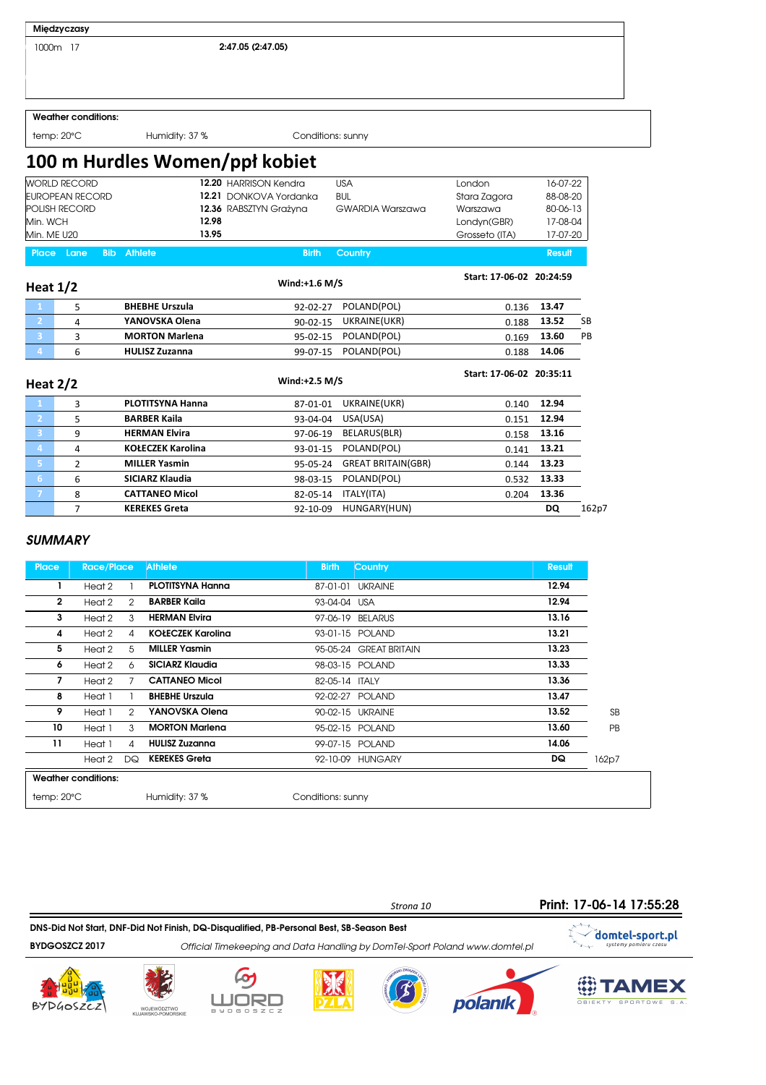1000m 17 2:47.05 (2:47.05)

#### Weather conditions:

temp: 20°C Humidity: 37 % Conditions: sunny

### 100 m Hurdles Women/ppł kobiet

| <b>WORLD RECORD</b>                     | 12.20 HARRISON Kendra  | USA              | London         | 16-07-22      |
|-----------------------------------------|------------------------|------------------|----------------|---------------|
| <b>EUROPEAN RECORD</b>                  | 12.21 DONKOVA Yordanka | <b>BUL</b>       | Stara Zagora   | 88-08-20      |
| <b>POLISH RECORD</b>                    | 12.36 RABSZTYN Grażyna | GWARDIA Warszawa | Warszawa       | 80-06-13      |
| Min. WCH                                | 12.98                  |                  | Londyn(GBR)    | 17-08-04      |
| Min. ME U20                             | 13.95                  |                  | Grosseto (ITA) | 17-07-20      |
| <b>Place Lane</b><br><b>Bib</b> Athlete | <b>Birth</b>           | Country          |                | <b>Result</b> |

| Heat $1/2$ |   |                       | Wind: $+1.6$ M/S |                      | Start: 17-06-02 20:24:59 |               |           |
|------------|---|-----------------------|------------------|----------------------|--------------------------|---------------|-----------|
|            |   | <b>BHEBHE Urszula</b> | 92-02-27         | POLAND(POL)          |                          | $0.136$ 13.47 |           |
|            | 4 | YANOVSKA Olena        | $90 - 02 - 15$   | UKRAINE(UKR)         | 0.188                    | 13.52         | <b>SB</b> |
|            |   | <b>MORTON Marlena</b> |                  | 95-02-15 POLAND(POL) | 0.169                    | 13.60         | <b>PB</b> |
| 4          | 6 | <b>HULISZ Zuzanna</b> | 99-07-15         | POLAND(POL)          | 0.188                    | 14.06         |           |

| Heat $2/2$     |   |                          | Wind: $+2.5$ M/S |                           | Start: 17-06-02 20:35:11 |           |       |
|----------------|---|--------------------------|------------------|---------------------------|--------------------------|-----------|-------|
| $\blacksquare$ | 3 | <b>PLOTITSYNA Hanna</b>  | 87-01-01         | UKRAINE(UKR)              | 0.140                    | 12.94     |       |
| $\mathbf{2}$   | 5 | <b>BARBER Kaila</b>      | 93-04-04         | USA(USA)                  | 0.151                    | 12.94     |       |
| $\overline{3}$ | 9 | <b>HERMAN Elvira</b>     | 97-06-19         | BELARUS(BLR)              | 0.158                    | 13.16     |       |
| $\overline{a}$ | 4 | <b>KOŁECZEK Karolina</b> | 93-01-15         | POLAND(POL)               | 0.141                    | 13.21     |       |
| -51            | 2 | <b>MILLER Yasmin</b>     | 95-05-24         | <b>GREAT BRITAIN(GBR)</b> | 0.144                    | 13.23     |       |
| 6              | 6 | SICIARZ Klaudia          | 98-03-15         | POLAND(POL)               | 0.532                    | 13.33     |       |
| 7              | 8 | <b>CATTANEO Micol</b>    | 82-05-14         | ITALY(ITA)                | 0.204                    | 13.36     |       |
|                |   | <b>KEREKES Greta</b>     | 92-10-09         | HUNGARY(HUN)              |                          | <b>DQ</b> | 162p7 |

#### **SUMMARY**

| <b>Place</b> | <b>Race/Place</b>          |               | <b>Athlete</b>           | <b>Birth</b>      | Country                | <b>Result</b> |           |
|--------------|----------------------------|---------------|--------------------------|-------------------|------------------------|---------------|-----------|
|              | Heat 2                     |               | <b>PLOTITSYNA Hanna</b>  |                   | 87-01-01 UKRAINE       | 12.94         |           |
| $\mathbf{2}$ | Heat 2                     | $\mathcal{P}$ | <b>BARBER Kaila</b>      | 93-04-04 USA      |                        | 12.94         |           |
| 3            | Heat 2                     | 3             | <b>HERMAN Elvira</b>     |                   | 97-06-19 BELARUS       | 13.16         |           |
| 4            | Heat 2                     | 4             | <b>KOŁECZEK Karolina</b> |                   | 93-01-15 POLAND        | 13.21         |           |
| 5            | Heat 2                     | 5             | <b>MILLER Yasmin</b>     |                   | 95-05-24 GREAT BRITAIN | 13.23         |           |
| 6            | Heat 2                     | 6             | <b>SICIARZ Klaudia</b>   |                   | 98-03-15 POLAND        | 13.33         |           |
| 7            | Heat 2                     |               | <b>CATTANEO Micol</b>    | 82-05-14 ITALY    |                        | 13.36         |           |
| 8            | Heat 1                     |               | <b>BHEBHE Urszula</b>    |                   | 92-02-27 POLAND        | 13.47         |           |
| 9            | Heat 1                     | 2             | YANOVSKA Olena           |                   | 90-02-15 UKRAINE       | 13.52         | <b>SB</b> |
| 10           | Heat 1                     | 3             | <b>MORTON Marlena</b>    |                   | 95-02-15 POLAND        | 13.60         | <b>PB</b> |
| 11           | Heat 1                     | 4             | <b>HULISZ Zuzanna</b>    |                   | 99-07-15 POLAND        | 14.06         |           |
|              | Heat 2                     | DQ            | <b>KEREKES Greta</b>     |                   | 92-10-09 HUNGARY       | DQ            | 162p7     |
|              | <b>Weather conditions:</b> |               |                          |                   |                        |               |           |
| temp: 20°C   |                            |               | Humidity: 37 %           | Conditions: sunny |                        |               |           |













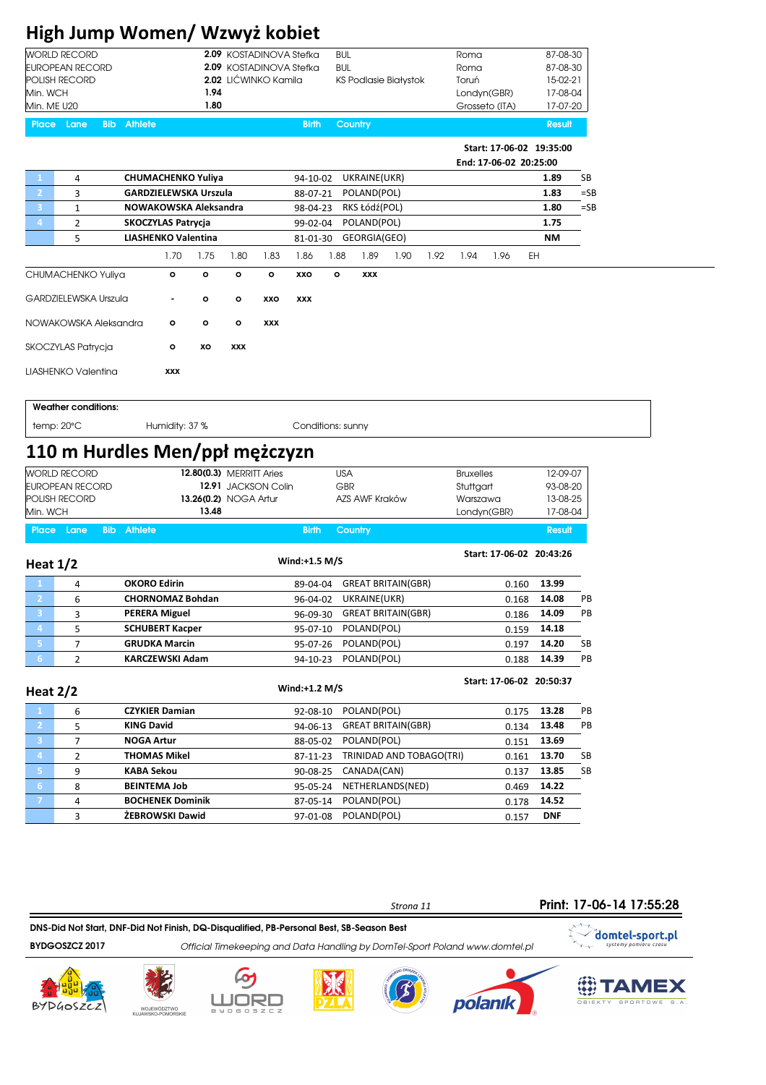# High Jump Women/ Wzwyż kobiet

| <b>WORLD RECORD</b><br><b>EUROPEAN RECORD</b>                                                                                                                                              |                                                       | 2.09 KOSTADINOVA Stefka<br>2.09 KOSTADINOVA Stefka | <b>BUL</b><br><b>BUL</b>        | Roma<br>Roma                      | 87-08-30<br>87-08-30             |
|--------------------------------------------------------------------------------------------------------------------------------------------------------------------------------------------|-------------------------------------------------------|----------------------------------------------------|---------------------------------|-----------------------------------|----------------------------------|
| POLISH RECORD                                                                                                                                                                              |                                                       | 2.02 LIĆWINKO Kamila                               | <b>KS Podlasie Białystok</b>    | Toruń                             | 15-02-21                         |
| Min. WCH                                                                                                                                                                                   | 1.94                                                  |                                                    |                                 | Londyn(GBR)                       | 17-08-04                         |
| Min. ME U20                                                                                                                                                                                | 1.80                                                  |                                                    |                                 | Grosseto (ITA)                    | 17-07-20                         |
| Place Lane                                                                                                                                                                                 | <b>Bib</b> Athlete                                    | <b>Birth</b>                                       | Country                         |                                   | <b>Result</b>                    |
|                                                                                                                                                                                            |                                                       |                                                    |                                 | Start: 17-06-02 19:35:00          |                                  |
|                                                                                                                                                                                            |                                                       |                                                    |                                 | End: 17-06-02 20:25:00            |                                  |
| 4<br>1                                                                                                                                                                                     | <b>CHUMACHENKO Yuliya</b>                             | 94-10-02                                           | UKRAINE(UKR)                    |                                   | SB<br>1.89                       |
| $\overline{2}$<br>3<br>$\mathbf{3}$                                                                                                                                                        | <b>GARDZIELEWSKA Urszula</b><br>NOWAKOWSKA Aleksandra | 88-07-21                                           | POLAND(POL)                     |                                   | 1.83<br>$=$ SB<br>1.80<br>$=$ SB |
| $\mathbf 1$<br>$\overline{2}$<br>4                                                                                                                                                         | <b>SKOCZYLAS Patrycja</b>                             | 98-04-23<br>99-02-04                               | RKS Łódź(POL)<br>POLAND(POL)    |                                   | 1.75                             |
| 5                                                                                                                                                                                          | <b>LIASHENKO Valentina</b>                            | 81-01-30                                           | GEORGIA(GEO)                    |                                   | <b>NM</b>                        |
|                                                                                                                                                                                            | 1.75<br>1.70                                          | 1.80<br>1.83<br>1.86                               | 1.88<br>1.89<br>1.90<br>1.92    | 1.96<br>1.94                      | EH                               |
| CHUMACHENKO Yuliya                                                                                                                                                                         | $\mathbf{o}$<br>$\mathbf{o}$                          | $\circ$<br>$\mathbf{o}$<br>XXO                     | $\mathbf{o}$<br>XXX             |                                   |                                  |
| <b>GARDZIELEWSKA Urszula</b>                                                                                                                                                               | $\circ$<br>٠                                          | $\circ$<br>XXO<br><b>XXX</b>                       |                                 |                                   |                                  |
| NOWAKOWSKA Aleksandra                                                                                                                                                                      | $\circ$<br>$\circ$                                    | $\circ$<br>XXX                                     |                                 |                                   |                                  |
| SKOCZYLAS Patrycja                                                                                                                                                                         | $\mathbf{o}$<br>хo                                    | <b>XXX</b>                                         |                                 |                                   |                                  |
| LIASHENKO Valentina                                                                                                                                                                        | XXX                                                   |                                                    |                                 |                                   |                                  |
|                                                                                                                                                                                            |                                                       |                                                    |                                 |                                   |                                  |
| <b>Weather conditions:</b>                                                                                                                                                                 |                                                       |                                                    |                                 |                                   |                                  |
| temp:20°C                                                                                                                                                                                  | Humidity: 37 %                                        |                                                    | Conditions: sunny               |                                   |                                  |
|                                                                                                                                                                                            |                                                       |                                                    |                                 |                                   |                                  |
|                                                                                                                                                                                            | 110 m Hurdles Men/ppł mężczyzn                        |                                                    |                                 |                                   |                                  |
|                                                                                                                                                                                            |                                                       | 12.80(0.3) MERRITT Aries                           | <b>USA</b>                      | <b>Bruxelles</b>                  | 12-09-07                         |
|                                                                                                                                                                                            |                                                       | 12.91 JACKSON Colin                                | GBR                             | Stuttgart                         | 93-08-20                         |
|                                                                                                                                                                                            |                                                       | 13.26(0.2) NOGA Artur                              | AZS AWF Kraków                  | Warszawa                          | 13-08-25                         |
|                                                                                                                                                                                            | 13.48<br><b>Bib Athlete</b>                           | <b>Birth</b>                                       | Country                         | Londyn(GBR)                       | 17-08-04<br><b>Result</b>        |
|                                                                                                                                                                                            |                                                       |                                                    |                                 | Start: 17-06-02 20:43:26          |                                  |
|                                                                                                                                                                                            |                                                       | Wind:+1.5 M/S                                      |                                 |                                   |                                  |
| 4                                                                                                                                                                                          | <b>OKORO Edirin</b>                                   | 89-04-04                                           | GREAT BRITAIN(GBR)              | 0.160                             | 13.99                            |
| 6                                                                                                                                                                                          | <b>CHORNOMAZ Bohdan</b>                               | 96-04-02                                           | UKRAINE(UKR)                    | 0.168                             | 14.08<br>PB                      |
| 3                                                                                                                                                                                          | <b>PERERA Miguel</b>                                  | 96-09-30                                           | GREAT BRITAIN(GBR)              | 0.186                             | 14.09<br>PB                      |
| 5                                                                                                                                                                                          | <b>SCHUBERT Kacper</b>                                | 95-07-10                                           | POLAND(POL)                     | 0.159                             | 14.18                            |
| 7                                                                                                                                                                                          | <b>GRUDKA Marcin</b><br><b>KARCZEWSKI Adam</b>        | 95-07-26                                           | POLAND(POL)                     | 0.197                             | 14.20<br>SB<br>PB                |
| $\overline{2}$<br>2                                                                                                                                                                        |                                                       | 94-10-23                                           | POLAND(POL)                     | 0.188<br>Start: 17-06-02 20:50:37 | 14.39                            |
| <b>WORLD RECORD</b><br><b>EUROPEAN RECORD</b><br>POLISH RECORD<br>Min. WCH<br>Place Lane<br><b>Heat 1/2</b><br>3<br>$\vert 4 \rangle$<br>$\vert 5 \rangle$<br>6 <sub>1</sub><br>Heat $2/2$ |                                                       | Wind:+1.2 M/S                                      |                                 |                                   |                                  |
| 6                                                                                                                                                                                          | <b>CZYKIER Damian</b>                                 | 92-08-10                                           | POLAND(POL)                     | 0.175                             | 13.28<br>PB                      |
| 5                                                                                                                                                                                          | <b>KING David</b>                                     | 94-06-13                                           | <b>GREAT BRITAIN(GBR)</b>       | 0.134                             | 13.48<br>PB                      |
| 7                                                                                                                                                                                          | <b>NOGA Artur</b>                                     | 88-05-02                                           | POLAND(POL)                     | 0.151                             | 13.69                            |
| 2                                                                                                                                                                                          | <b>THOMAS Mikel</b>                                   | 87-11-23                                           | TRINIDAD AND TOBAGO(TRI)        | 0.161                             | 13.70<br>SB                      |
| 9                                                                                                                                                                                          | <b>KABA Sekou</b>                                     | 90-08-25                                           | CANADA(CAN)                     | 0.137                             | 13.85<br>SB                      |
| $\mathbf{2}$<br>$\mathbf{3}$<br>$\overline{4}$<br>$\overline{5}$<br>6 <sub>1</sub><br>8<br>$\mathbf{7}$<br>4                                                                               | <b>BEINTEMA Job</b><br><b>BOCHENEK Dominik</b>        | 95-05-24<br>87-05-14                               | NETHERLANDS(NED)<br>POLAND(POL) | 0.469<br>0.178                    | 14.22<br>14.52                   |

Strona 11 BYDGOSZCZ 2017 Official Timekeeping and Data Handling by DomTel-Sport Poland www.domtel.pl DNS-Did Not Start, DNF-Did Not Finish, DQ-Disqualified, PB-Personal Best, SB-Season Best













**OBIEKTY SPORTOWE S.A.** 

Print: 17-06-14 17:55:28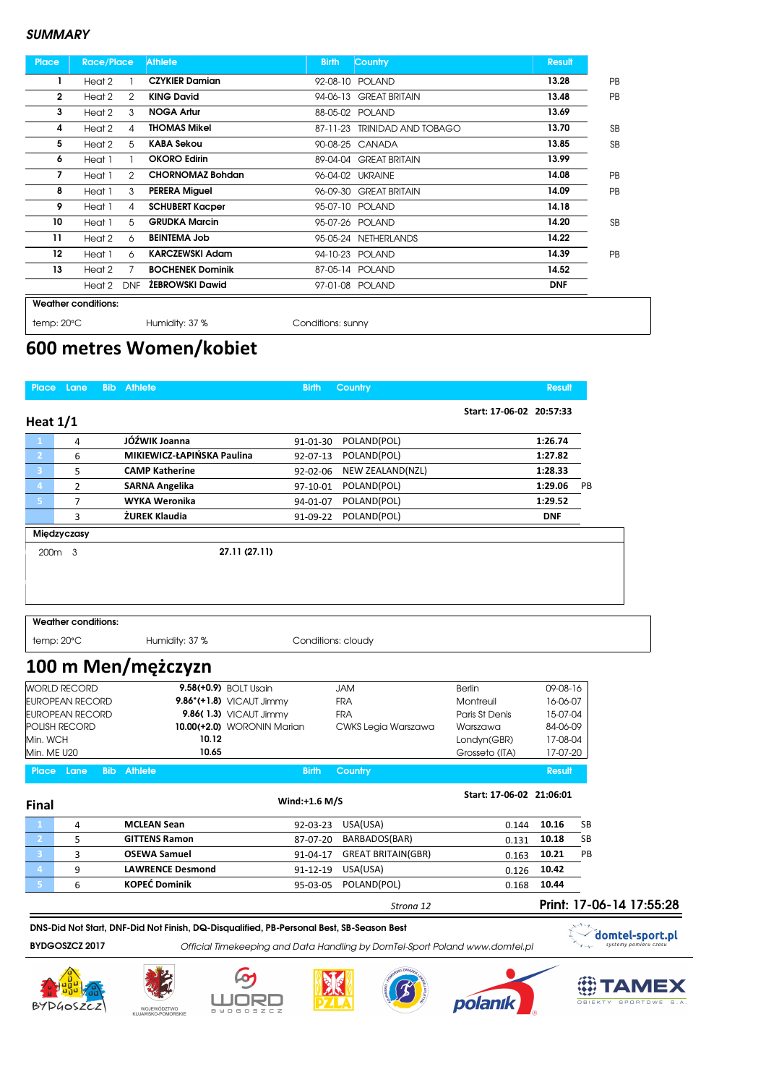| <b>Place</b>       | <b>Race/Place</b>          |                | <b>Athlete</b>                | <b>Birth</b>      | Country                    | <b>Result</b> |           |
|--------------------|----------------------------|----------------|-------------------------------|-------------------|----------------------------|---------------|-----------|
| 1                  | Heat 2                     |                | <b>CZYKIER Damian</b>         |                   | 92-08-10 POLAND            | 13.28         | <b>PB</b> |
| 2                  | Heat 2                     | 2              | <b>KING David</b>             |                   | 94-06-13 GREAT BRITAIN     | 13.48         | <b>PB</b> |
| 3                  | Heat 2                     | 3              | <b>NOGA Artur</b>             |                   | 88-05-02 POLAND            | 13.69         |           |
| 4                  | Heat 2                     | 4              | <b>THOMAS Mikel</b>           | 87-11-23          | <b>TRINIDAD AND TOBAGO</b> | 13.70         | <b>SB</b> |
| 5                  | Heat 2                     | 5              | <b>KABA Sekou</b>             |                   | 90-08-25 CANADA            | 13.85         | <b>SB</b> |
| 6                  | Heat 1                     |                | <b>OKORO Edirin</b>           |                   | 89-04-04 GREAT BRITAIN     | 13.99         |           |
| 7                  | Heat 1                     | $\overline{2}$ | <b>CHORNOMAZ Bohdan</b>       |                   | 96-04-02 UKRAINE           | 14.08         | PB        |
| 8                  | Heat 1                     | 3              | <b>PERERA Miguel</b>          |                   | 96-09-30 GREAT BRITAIN     | 14.09         | PB        |
| 9                  | Heat 1                     | 4              | <b>SCHUBERT Kacper</b>        |                   | 95-07-10 POLAND            | 14.18         |           |
| 10                 | Heat 1                     | 5              | <b>GRUDKA Marcin</b>          |                   | 95-07-26 POLAND            | 14.20         | <b>SB</b> |
| 11                 | Heat 2                     | 6              | <b>BEINTEMA Job</b>           |                   | 95-05-24 NETHERLANDS       | 14.22         |           |
| 12                 | Heat 1                     | 6              | <b>KARCZEWSKI Adam</b>        |                   | 94-10-23 POLAND            | 14.39         | PB        |
| 13                 | Heat 2                     | 7              | <b>BOCHENEK Dominik</b>       |                   | 87-05-14 POLAND            | 14.52         |           |
|                    | Heat 2                     | <b>DNF</b>     | <b><i>ŽEBROWSKI Dawid</i></b> |                   | 97-01-08 POLAND            | <b>DNF</b>    |           |
|                    | <b>Weather conditions:</b> |                |                               |                   |                            |               |           |
| $temp:20^{\circ}C$ |                            |                | Humidity: 37 %                | Conditions: sunny |                            |               |           |

# 600 metres Women/kobiet

| Place Lane              |                            | <b>Bib Athlete</b>         | <b>Birth</b>                                                                             | <b>Country</b>            |                               | <b>Result</b>            |                                          |
|-------------------------|----------------------------|----------------------------|------------------------------------------------------------------------------------------|---------------------------|-------------------------------|--------------------------|------------------------------------------|
| Heat $1/1$              |                            |                            |                                                                                          |                           | Start: 17-06-02 20:57:33      |                          |                                          |
|                         | 4                          | JÓŹWIK Joanna              | 91-01-30                                                                                 | POLAND(POL)               |                               | 1:26.74                  |                                          |
| $\mathbf{2}$            | 6                          | MIKIEWICZ-ŁAPIŃSKA Paulina | 92-07-13                                                                                 | POLAND(POL)               |                               | 1:27.82                  |                                          |
| $\overline{3}$          | 5                          | <b>CAMP Katherine</b>      | 92-02-06                                                                                 | NEW ZEALAND(NZL)          |                               | 1:28.33                  |                                          |
| $\overline{4}$          | $\overline{2}$             | <b>SARNA Angelika</b>      | 97-10-01                                                                                 | POLAND(POL)               |                               | 1:29.06                  | PB                                       |
| 5                       | $\overline{7}$             | <b>WYKA Weronika</b>       | 94-01-07                                                                                 | POLAND(POL)               |                               | 1:29.52                  |                                          |
|                         | $\overline{3}$             | ŻUREK Klaudia              | 91-09-22                                                                                 | POLAND(POL)               |                               | <b>DNF</b>               |                                          |
|                         | Międzyczasy                |                            |                                                                                          |                           |                               |                          |                                          |
| 200 <sub>m</sub> 3      |                            |                            | 27.11 (27.11)                                                                            |                           |                               |                          |                                          |
|                         |                            |                            |                                                                                          |                           |                               |                          |                                          |
|                         |                            |                            |                                                                                          |                           |                               |                          |                                          |
|                         |                            |                            |                                                                                          |                           |                               |                          |                                          |
|                         | <b>Weather conditions:</b> |                            |                                                                                          |                           |                               |                          |                                          |
| temp: 20°C              |                            | Humidity: 37 %             | Conditions: cloudy                                                                       |                           |                               |                          |                                          |
|                         |                            | 100 m Men/mężczyzn         |                                                                                          |                           |                               |                          |                                          |
|                         | <b>WORLD RECORD</b>        |                            | 9.58(+0.9) BOLT Usain                                                                    | <b>JAM</b>                | <b>Berlin</b>                 | 09-08-16                 |                                          |
|                         | <b>EUROPEAN RECORD</b>     |                            | $9.86^*(+1.8)$ VICAUT Jimmy                                                              | <b>FRA</b>                | Montreuil                     | 16-06-07                 |                                          |
|                         | <b>EUROPEAN RECORD</b>     |                            | 9.86(1.3) VICAUT Jimmy                                                                   | <b>FRA</b>                | Paris St Denis                | 15-07-04                 |                                          |
|                         | <b>POLISH RECORD</b>       | 10.12                      | 10.00(+2.0) WORONIN Marian                                                               | CWKS Legia Warszawa       | Warszawa                      | 84-06-09                 |                                          |
| Min. WCH<br>Min. ME U20 |                            | 10.65                      |                                                                                          |                           | Londyn(GBR)<br>Grosseto (ITA) | 17-08-04<br>17-07-20     |                                          |
|                         |                            |                            |                                                                                          |                           |                               |                          |                                          |
| Place Lane              |                            | <b>Bib Athlete</b>         | <b>Birth</b>                                                                             | <b>Country</b>            |                               | <b>Result</b>            |                                          |
| <b>Final</b>            |                            |                            | Wind:+1.6 M/S                                                                            |                           | Start: 17-06-02 21:06:01      |                          |                                          |
|                         | 4                          | <b>MCLEAN Sean</b>         | 92-03-23                                                                                 | USA(USA)                  | 0.144                         | 10.16                    | SB                                       |
| $\mathbf{2}$            | 5                          | <b>GITTENS Ramon</b>       | 87-07-20                                                                                 | BARBADOS(BAR)             | 0.131                         | 10.18                    | <b>SB</b>                                |
| 3                       | 3                          | <b>OSEWA Samuel</b>        | 91-04-17                                                                                 | <b>GREAT BRITAIN(GBR)</b> | 0.163                         | 10.21                    | PB                                       |
| $\overline{4}$          | 9                          | <b>LAWRENCE Desmond</b>    | 91-12-19                                                                                 | USA(USA)                  | 0.126                         | 10.42                    |                                          |
| 5                       | 6                          | <b>KOPEĆ Dominik</b>       | 95-03-05                                                                                 | POLAND(POL)               | 0.168                         | 10.44                    |                                          |
|                         |                            |                            |                                                                                          | Strona 12                 |                               | Print: 17-06-14 17:55:28 |                                          |
|                         |                            |                            | DNS-Did Not Start, DNF-Did Not Finish, DQ-Disqualified, PB-Personal Best, SB-Season Best |                           |                               |                          |                                          |
|                         | BYDGOSZCZ 2017             |                            |                                                                                          |                           |                               |                          | domtel-sport.pl<br>systemy pomiaru czasu |
|                         |                            |                            | Official Timekeeping and Data Handling by DomTel-Sport Poland www.domtel.pl              |                           |                               |                          |                                          |

BYDGOSZCZ











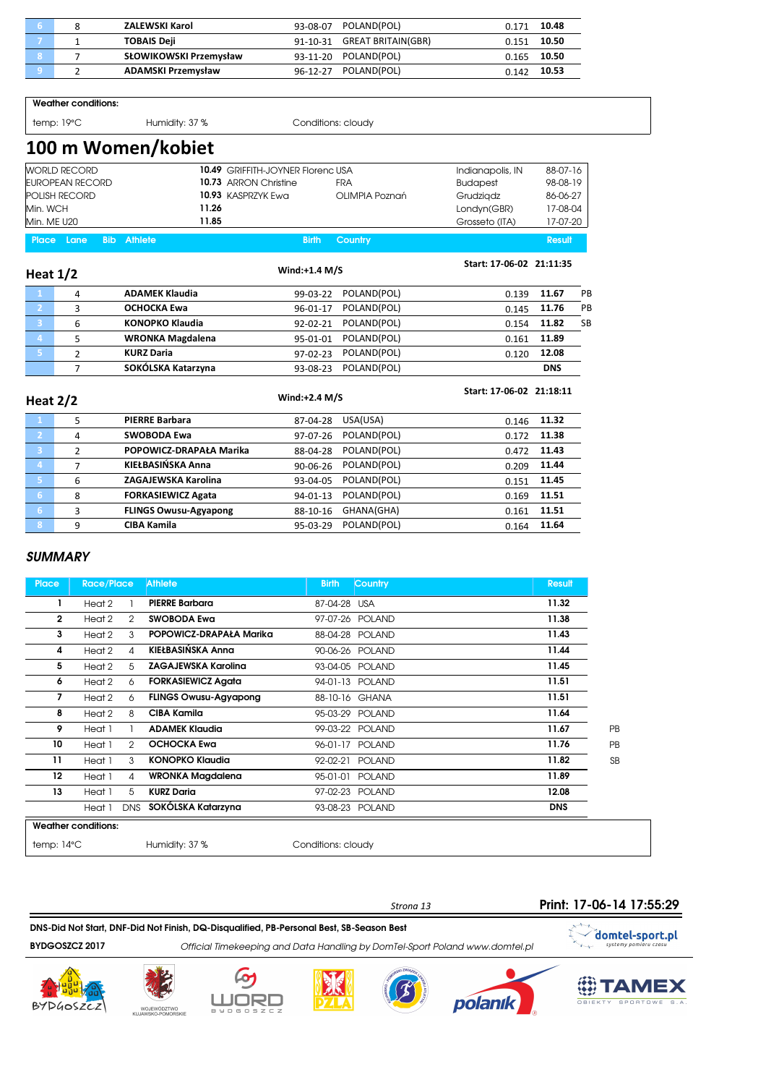|  | ZALEWSKI Karol            | 93-08-07 | POLAND(POL)                 | በ 171 | 10.48 |
|--|---------------------------|----------|-----------------------------|-------|-------|
|  | <b>TOBAIS Deji</b>        |          | 91-10-31 GREAT BRITAIN(GBR) | 0.151 | 10.50 |
|  | SŁOWIKOWSKI Przemysław    |          | 93-11-20 POLAND(POL)        | 0.165 | 10.50 |
|  | <b>ADAMSKI Przemysław</b> |          | 96-12-27 POLAND(POL)        | 0.142 | 10.53 |

Weather conditions:

temp: 19°C 
Humidity: 37 % Conditions: cloudy

### 100 m Women/kobiet

| <b>WORLD RECORD</b>       | <b>10.49 GRIFFITH-JOYNER Florenc USA</b> |                | Indianapolis, IN | 88-07-16 |
|---------------------------|------------------------------------------|----------------|------------------|----------|
| EUROPEAN RECORD           | 10.73 ARRON Christine                    | FRA            | <b>Budapest</b>  | 98-08-19 |
| <b>POLISH RECORD</b>      | 10.93 KASPRZYK Ewa                       | OLIMPIA Poznań | Grudziadz        | 86-06-27 |
| Min. WCH                  | 11.26                                    |                | Londyn(GBR)      | 17-08-04 |
| Min. ME U20               | 11.85                                    |                | Grosseto (ITA)   | 17-07-20 |
| Place Lane<br>Bib Athlete | <b>Birth</b>                             | Country        |                  | Result   |

| Heat $1/2$              |   |                         | Wind: $+1.4$ M/S |             | Start: 17-06-02 21:11:35 |               |           |
|-------------------------|---|-------------------------|------------------|-------------|--------------------------|---------------|-----------|
| $\mathbf{1}$            | 4 | <b>ADAMEK Klaudia</b>   | 99-03-22         | POLAND(POL) | 0.139                    | 11.67         | PB.       |
| $\overline{2}$          | 3 | OCHOCKA Ewa             | 96-01-17         | POLAND(POL) | 0.145                    | 11.76         | PB        |
| $\overline{\mathbf{3}}$ | 6 | <b>KONOPKO Klaudia</b>  | 92-02-21         | POLAND(POL) |                          | $0.154$ 11.82 | <b>SB</b> |
| 4                       |   | <b>WRONKA Magdalena</b> | 95-01-01         | POLAND(POL) | 0.161                    | 11.89         |           |
| Γ.                      | ͻ | <b>KURZ Daria</b>       | $97-02-23$       | POLAND(POL) | 0.120                    | 12.08         |           |
|                         |   | SOKÓLSKA Katarzyna      | 93-08-23         | POLAND(POL) |                          | <b>DNS</b>    |           |

| Heat $2/2$     |                |                              | $Wind: +2.4 M/S$ |             | Start: 17-06-02 21:18:11 |       |
|----------------|----------------|------------------------------|------------------|-------------|--------------------------|-------|
| $\mathbf{1}$   | 5              | <b>PIERRE Barbara</b>        | 87-04-28         | USA(USA)    | 0.146                    | 11.32 |
| $\overline{2}$ | 4              | SWOBODA Ewa                  | 97-07-26         | POLAND(POL) | 0.172                    | 11.38 |
| 3              | $\overline{2}$ | POPOWICZ-DRAPAŁA Marika      | 88-04-28         | POLAND(POL) | 0.472                    | 11.43 |
| 4              |                | KIEŁBASIŃSKA Anna            | 90-06-26         | POLAND(POL) | 0.209                    | 11.44 |
| 15,            | 6              | ZAGAJEWSKA Karolina          | 93-04-05         | POLAND(POL) | 0.151                    | 11.45 |
| 6              | 8              | <b>FORKASIEWICZ Agata</b>    | $94 - 01 - 13$   | POLAND(POL) | 0.169                    | 11.51 |
| 6              | 3              | <b>FLINGS Owusu-Agyapong</b> | 88-10-16         | GHANA(GHA)  | 0.161                    | 11.51 |
| 8              | 9              | <b>CIBA Kamila</b>           | 95-03-29         | POLAND(POL) | 0.164                    | 11.64 |

#### **SUMMARY**

| <b>Place</b>         | <b>Race/Place</b>          |                | <b>Athlete</b>               | <b>Birth</b>       | <b>Country</b>  | <b>Result</b> |           |
|----------------------|----------------------------|----------------|------------------------------|--------------------|-----------------|---------------|-----------|
| 1                    | Heat 2                     |                | <b>PIERRE Barbara</b>        | 87-04-28 USA       |                 | 11.32         |           |
| $\mathbf{2}$         | Heat 2                     | $\mathfrak{D}$ | <b>SWOBODA Ewa</b>           |                    | 97-07-26 POLAND | 11.38         |           |
| 3                    | Heat 2                     | 3              | POPOWICZ-DRAPAŁA Marika      |                    | 88-04-28 POLAND | 11.43         |           |
| 4                    | Heat 2                     | 4              | KIEŁBASIŃSKA Anna            |                    | 90-06-26 POLAND | 11.44         |           |
| 5                    | Heat 2                     | 5              | ZAGAJEWSKA Karolina          |                    | 93-04-05 POLAND | 11.45         |           |
| 6                    | Heat 2                     | 6              | <b>FORKASIEWICZ Agata</b>    |                    | 94-01-13 POLAND | 11.51         |           |
| 7                    | Heat 2                     | 6              | <b>FLINGS Owusu-Agyapong</b> |                    | 88-10-16 GHANA  | 11.51         |           |
| 8                    | Heat 2                     | 8              | <b>CIBA Kamila</b>           |                    | 95-03-29 POLAND | 11.64         |           |
| 9                    | Heat 1                     |                | <b>ADAMEK Klaudia</b>        |                    | 99-03-22 POLAND | 11.67         | PB        |
| 10                   | Heat 1                     | 2              | <b>OCHOCKA Ewa</b>           |                    | 96-01-17 POLAND | 11.76         | PB        |
| 11                   | Heat 1                     | 3              | <b>KONOPKO Klaudia</b>       | 92-02-21           | <b>POLAND</b>   | 11.82         | <b>SB</b> |
| 12                   | Heat 1                     | 4              | <b>WRONKA Magdalena</b>      |                    | 95-01-01 POLAND | 11.89         |           |
| 13                   | Heat 1                     | 5              | <b>KURZ Daria</b>            |                    | 97-02-23 POLAND | 12.08         |           |
|                      | Heat 1                     | <b>DNS</b>     | SOKÓLSKA Katarzyna           |                    | 93-08-23 POLAND | <b>DNS</b>    |           |
|                      | <b>Weather conditions:</b> |                |                              |                    |                 |               |           |
| temp: $14^{\circ}$ C |                            |                | Humidity: 37 %               | Conditions: cloudy |                 |               |           |



DNS-Did Not Start, DNF-Did Not Finish, DQ-Disqualified, PB-Personal Best, SB-Season Best

BYDGOSZCZ 2017 Official Timekeeping and Data Handling by DomTel-Sport Poland www.domtel.pl











Strona 13



**OBIEKTY SPORTOWE** 

 $\overline{\mathbf{s} \cdot \mathbf{A}}$